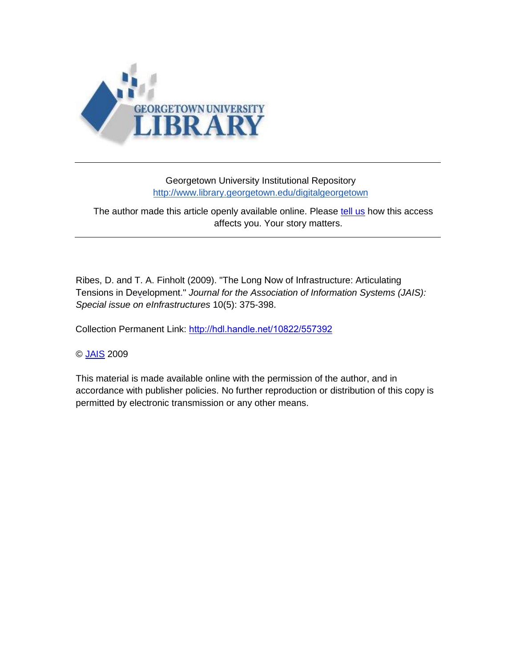

## Georgetown University Institutional Repository http://www.library.georgetown.edu/digitalgeorgetown

## The author made this article openly available online. Please [tell us](http://www.library.georgetown.edu/digitalgeorgetown) how this access affects you. Your story matters.

Ribes, D. and T. A. Finholt (2009). "The Long Now of I[nfrastructure: Articulating](http://www.davidribes.com/storage/Ribes%20Finholt%20-%20Long%20Now%20JAIS.pdf)  T[ensions](http://www.davidribes.com/storage/Ribes%20Finholt%20-%20Long%20Now%20JAIS.pdf) in Development." *Journal for the Association of Information Systems (JAIS): Special issue on eInfrastructures* 10(5): 375-398.

Collection Permanent Link: <http://hdl.handle.net/10822/557392>

## © [JAIS](http://aisel.aisnet.org/jais/vol10/iss5/5) 2009

This material is made available online with the permission of the author, and in accordance with publisher policies. No further reproduction or distribution of this copy is permitted by electronic transmission or any other means.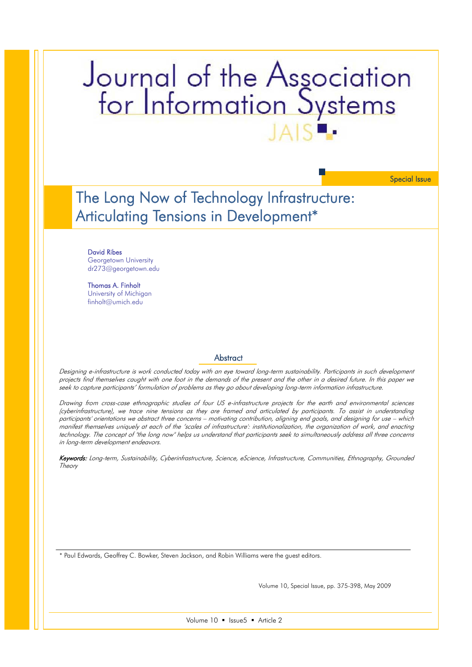# Journal of the Association<br>for Information Systems

Special Issue

The Long Now of Technology Infrastructure: Articulating Tensions in Development\*

#### David Ribes

Georgetown University dr273@georgetown.edu

Thomas A. Finholt University of Michigan finholt@umich.edu

#### **Abstract**

Designing e-infrastructure is work conducted today with an eye toward long-term sustainability. Participants in such development projects find themselves caught with one foot in the demands of the present and the other in a desired future. In this paper we seek to capture participants' formulation of problems as they go about developing long-term information infrastructure.

Drawing from cross-case ethnographic studies of four US e-infrastructure projects for the earth and environmental sciences (cyberinfrastructure), we trace nine tensions as they are framed and articulated by participants. To assist in understanding participants' orientations we abstract three concerns – motivating contribution, aligning end goals, and designing for use – which manifest themselves uniquely at each of the 'scales of infrastructure': institutionalization, the organization of work, and enacting technology. The concept of "the long now" helps us understand that participants seek to simultaneously address all three concerns in long-term development endeavors.

Keywords: Long-term, Sustainability, Cyberinfrastructure, Science, eScience, Infrastructure, Communities, Ethnography, Grounded **Theory** 

\* Paul Edwards, Geoffrey C. Bowker, Steven Jackson, and Robin Williams were the guest editors.

Volume 10, Special Issue, pp. 375-398, May 2009

Volume 10 · Issue5 · Article 2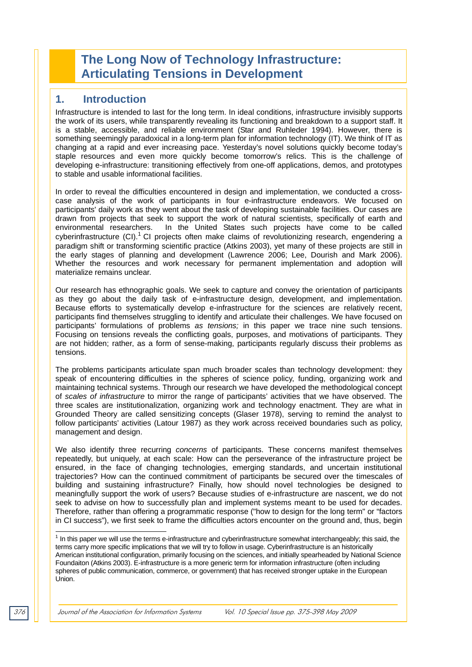# **The Long Now of Technology Infrastructure: Articulating Tensions in Development**

## **1. Introduction**

Infrastructure is intended to last for the long term. In ideal conditions, infrastructure invisibly supports the work of its users, while transparently revealing its functioning and breakdown to a support staff. It is a stable, accessible, and reliable environment (Star and Ruhleder 1994). However, there is something seemingly paradoxical in a long-term plan for information technology (IT). We think of IT as changing at a rapid and ever increasing pace. Yesterday's novel solutions quickly become today's staple resources and even more quickly become tomorrow's relics. This is the challenge of developing e-infrastructure: transitioning effectively from one-off applications, demos, and prototypes to stable and usable informational facilities.

In order to reveal the difficulties encountered in design and implementation, we conducted a crosscase analysis of the work of participants in four e-infrastructure endeavors. We focused on participants' daily work as they went about the task of developing sustainable facilities. Our cases are drawn from projects that seek to support the work of natural scientists, specifically of earth and environmental researchers. In the United States such projects have come to be called cyberinfrastructure (CI).<sup>1</sup> CI projects often make claims of revolutionizing research, engendering a paradigm shift or transforming scientific practice (Atkins 2003), yet many of these projects are still in the early stages of planning and development (Lawrence 2006; Lee, Dourish and Mark 2006). Whether the resources and work necessary for permanent implementation and adoption will materialize remains unclear.

Our research has ethnographic goals. We seek to capture and convey the orientation of participants as they go about the daily task of e-infrastructure design, development, and implementation. Because efforts to systematically develop e-infrastructure for the sciences are relatively recent, participants find themselves struggling to identify and articulate their challenges. We have focused on participants' formulations of problems *as tensions;* in this paper we trace nine such tensions. Focusing on tensions reveals the conflicting goals, purposes, and motivations of participants. They are not hidden; rather, as a form of sense-making, participants regularly discuss their problems as tensions.

The problems participants articulate span much broader scales than technology development: they speak of encountering difficulties in the spheres of science policy, funding, organizing work and maintaining technical systems. Through our research we have developed the methodological concept of *scales of infrastructure* to mirror the range of participants' activities that we have observed. The three scales are institutionalization, organizing work and technology enactment. They are what in Grounded Theory are called sensitizing concepts (Glaser 1978), serving to remind the analyst to follow participants' activities (Latour 1987) as they work across received boundaries such as policy, management and design.

We also identify three recurring *concerns* of participants. These concerns manifest themselves repeatedly, but uniquely, at each scale: How can the perseverance of the infrastructure project be ensured, in the face of changing technologies, emerging standards, and uncertain institutional trajectories? How can the continued commitment of participants be secured over the timescales of building and sustaining infrastructure? Finally, how should novel technologies be designed to meaningfully support the work of users? Because studies of e-infrastructure are nascent, we do not seek to advise on how to successfully plan and implement systems meant to be used for decades. Therefore, rather than offering a programmatic response ("how to design for the long term" or "factors in CI success"), we first seek to frame the difficulties actors encounter on the ground and, thus, begin

 1 In this paper we will use the terms e-infrastructure and cyberinfrastructure somewhat interchangeably; this said, the terms carry more specific implications that we will try to follow in usage. Cyberinfrastructure is an historically American institutional configuration, primarily focusing on the sciences, and initially spearheaded by National Science Foundaiton (Atkins 2003). E-infrastructure is a more generic term for information infrastructure (often including spheres of public communication, commerce, or government) that has received stronger uptake in the European Union.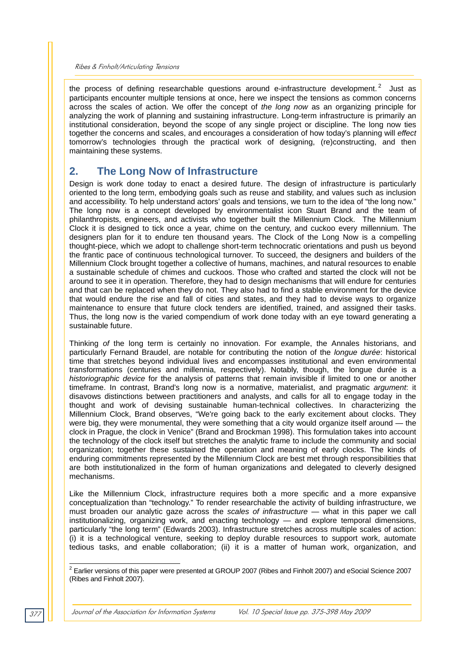the process of defining researchable questions around e-infrastructure development.<sup>2</sup> Just as participants encounter multiple tensions at once, here we inspect the tensions as common concerns across the scales of action. We offer the concept of *the long now* as an organizing principle for analyzing the work of planning and sustaining infrastructure. Long-term infrastructure is primarily an institutional consideration, beyond the scope of any single project or discipline. The long now ties together the concerns and scales, and encourages a consideration of how today's planning will *effect* tomorrow's technologies through the practical work of designing, (re)constructing, and then maintaining these systems.

## **2. The Long Now of Infrastructure**

Design is work done today to enact a desired future. The design of infrastructure is particularly oriented to the long term, embodying goals such as reuse and stability, and values such as inclusion and accessibility. To help understand actors' goals and tensions, we turn to the idea of "the long now." The long now is a concept developed by environmentalist icon Stuart Brand and the team of philanthropists, engineers, and activists who together built the Millennium Clock. The Millennium Clock it is designed to tick once a year, chime on the century, and cuckoo every millennium. The designers plan for it to endure ten thousand years. The Clock of the Long Now is a compelling thought-piece, which we adopt to challenge short-term technocratic orientations and push us beyond the frantic pace of continuous technological turnover. To succeed, the designers and builders of the Millennium Clock brought together a collective of humans, machines, and natural resources to enable a sustainable schedule of chimes and cuckoos. Those who crafted and started the clock will not be around to see it in operation. Therefore, they had to design mechanisms that will endure for centuries and that can be replaced when they do not. They also had to find a stable environment for the device that would endure the rise and fall of cities and states, and they had to devise ways to organize maintenance to ensure that future clock tenders are identified, trained, and assigned their tasks. Thus, the long now is the varied compendium of work done today with an eye toward generating a sustainable future.

Thinking *of* the long term is certainly no innovation. For example, the Annales historians, and particularly Fernand Braudel, are notable for contributing the notion of the *longue durée*: historical time that stretches beyond individual lives and encompasses institutional and even environmental transformations (centuries and millennia, respectively). Notably, though, the longue durée is a *historiographic device* for the analysis of patterns that remain invisible if limited to one or another timeframe. In contrast, Brand's long now is a normative, materialist, and pragmatic *argument*: it disavows distinctions between practitioners and analysts, and calls for all to engage today in the thought and work of devising sustainable human-technical collectives. In characterizing the Millennium Clock, Brand observes, "We're going back to the early excitement about clocks. They were big, they were monumental, they were something that a city would organize itself around — the clock in Prague, the clock in Venice" (Brand and Brockman 1998). This formulation takes into account the technology of the clock itself but stretches the analytic frame to include the community and social organization; together these sustained the operation and meaning of early clocks. The kinds of enduring commitments represented by the Millennium Clock are best met through responsibilities that are both institutionalized in the form of human organizations and delegated to cleverly designed mechanisms.

Like the Millennium Clock, infrastructure requires both a more specific and a more expansive conceptualization than "technology." To render researchable the activity of building infrastructure, we must broaden our analytic gaze across the *scales of infrastructure* — what in this paper we call institutionalizing, organizing work, and enacting technology — and explore temporal dimensions, particularly "the long term" (Edwards 2003). Infrastructure stretches across multiple scales of action: (i) it is a technological venture, seeking to deploy durable resources to support work, automate tedious tasks, and enable collaboration; (ii) it is a matter of human work, organization, and

 2 Earlier versions of this paper were presented at GROUP 2007 (Ribes and Finholt 2007) and eSocial Science 2007 (Ribes and Finholt 2007).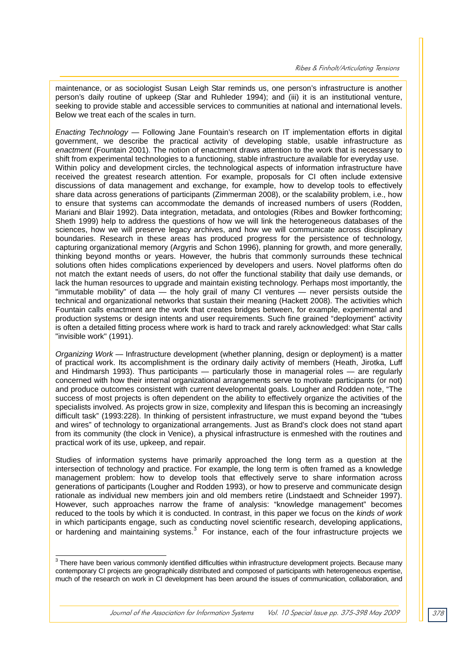maintenance, or as sociologist Susan Leigh Star reminds us, one person's infrastructure is another person's daily routine of upkeep (Star and Ruhleder 1994); and (iii) it is an institutional venture, seeking to provide stable and accessible services to communities at national and international levels. Below we treat each of the scales in turn.

*Enacting Technology* — Following Jane Fountain's research on IT implementation efforts in digital government, we describe the practical activity of developing stable, usable infrastructure as *enactment* (Fountain 2001). The notion of enactment draws attention to the work that is necessary to shift from experimental technologies to a functioning, stable infrastructure available for everyday use. Within policy and development circles, the technological aspects of information infrastructure have received the greatest research attention. For example, proposals for CI often include extensive discussions of data management and exchange, for example, how to develop tools to effectively share data across generations of participants (Zimmerman 2008), or the scalability problem, i.e., how to ensure that systems can accommodate the demands of increased numbers of users (Rodden, Mariani and Blair 1992). Data integration, metadata, and ontologies (Ribes and Bowker forthcoming; Sheth 1999) help to address the questions of how we will link the heterogeneous databases of the sciences, how we will preserve legacy archives, and how we will communicate across disciplinary boundaries. Research in these areas has produced progress for the persistence of technology, capturing organizational memory (Argyris and Schon 1996), planning for growth, and more generally, thinking beyond months or years. However, the hubris that commonly surrounds these technical solutions often hides complications experienced by developers and users. Novel platforms often do not match the extant needs of users, do not offer the functional stability that daily use demands, or lack the human resources to upgrade and maintain existing technology. Perhaps most importantly, the "immutable mobility" of data — the holy grail of many CI ventures — never persists outside the technical and organizational networks that sustain their meaning (Hackett 2008). The activities which Fountain calls enactment are the work that creates bridges between, for example, experimental and production systems or design intents and user requirements. Such fine grained "deployment" activity is often a detailed fitting process where work is hard to track and rarely acknowledged: what Star calls "invisible work" (1991).

*Organizing Work* — Infrastructure development (whether planning, design or deployment) is a matter of practical work. Its accomplishment is the ordinary daily activity of members (Heath, Jirotka, Luff and Hindmarsh 1993). Thus participants — particularly those in managerial roles — are regularly concerned with how their internal organizational arrangements serve to motivate participants (or not) and produce outcomes consistent with current developmental goals. Lougher and Rodden note, "The success of most projects is often dependent on the ability to effectively organize the activities of the specialists involved. As projects grow in size, complexity and lifespan this is becoming an increasingly difficult task" (1993:228). In thinking of persistent infrastructure, we must expand beyond the "tubes and wires" of technology to organizational arrangements. Just as Brand's clock does not stand apart from its community (the clock in Venice), a physical infrastructure is enmeshed with the routines and practical work of its use, upkeep, and repair.

Studies of information systems have primarily approached the long term as a question at the intersection of technology and practice. For example, the long term is often framed as a knowledge management problem: how to develop tools that effectively serve to share information across generations of participants (Lougher and Rodden 1993), or how to preserve and communicate design rationale as individual new members join and old members retire (Lindstaedt and Schneider 1997). However, such approaches narrow the frame of analysis: "knowledge management" becomes reduced to the tools by which it is conducted. In contrast, in this paper we focus on the *kinds of work*  in which participants engage, such as conducting novel scientific research, developing applications, or hardening and maintaining systems.<sup>3</sup> For instance, each of the four infrastructure projects we

 3 There have been various commonly identified difficulties within infrastructure development projects. Because many contemporary CI projects are geographically distributed and composed of participants with heterogeneous expertise, much of the research on work in CI development has been around the issues of communication, collaboration, and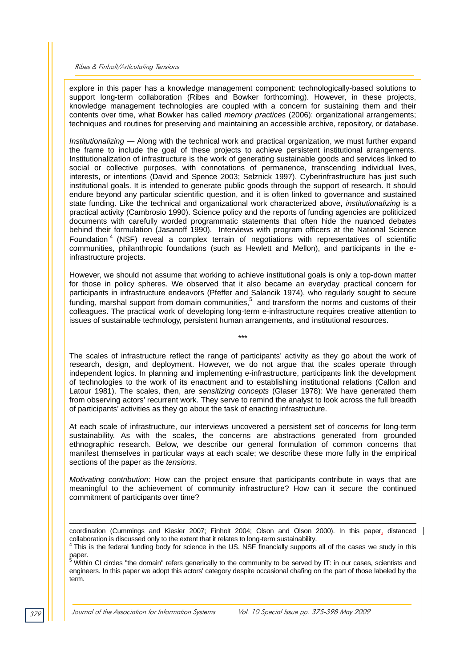explore in this paper has a knowledge management component: technologically-based solutions to support long-term collaboration (Ribes and Bowker forthcoming). However, in these projects, knowledge management technologies are coupled with a concern for sustaining them and their contents over time, what Bowker has called *memory practices* (2006): organizational arrangements; techniques and routines for preserving and maintaining an accessible archive, repository, or database.

*Institutionalizing* — Along with the technical work and practical organization, we must further expand the frame to include the goal of these projects to achieve persistent institutional arrangements. Institutionalization of infrastructure is the work of generating sustainable goods and services linked to social or collective purposes, with connotations of permanence, transcending individual lives, interests, or intentions (David and Spence 2003; Selznick 1997). Cyberinfrastructure has just such institutional goals. It is intended to generate public goods through the support of research. It should endure beyond any particular scientific question, and it is often linked to governance and sustained state funding. Like the technical and organizational work characterized above, *institutionalizing* is a practical activity (Cambrosio 1990). Science policy and the reports of funding agencies are politicized documents with carefully worded programmatic statements that often hide the nuanced debates behind their formulation (Jasanoff 1990). Interviews with program officers at the National Science Foundation  $4$  (NSF) reveal a complex terrain of negotiations with representatives of scientific communities, philanthropic foundations (such as Hewlett and Mellon), and participants in the einfrastructure projects.

However, we should not assume that working to achieve institutional goals is only a top-down matter for those in policy spheres. We observed that it also became an everyday practical concern for participants in infrastructure endeavors (Pfeffer and Salancik 1974), who regularly sought to secure funding, marshal support from domain communities,<sup>5</sup> and transform the norms and customs of their colleagues. The practical work of developing long-term e-infrastructure requires creative attention to issues of sustainable technology, persistent human arrangements, and institutional resources.

\*\*\*

The scales of infrastructure reflect the range of participants' activity as they go about the work of research, design, and deployment. However, we do not argue that the scales operate through independent logics. In planning and implementing e-infrastructure, participants link the development of technologies to the work of its enactment and to establishing institutional relations (Callon and Latour 1981). The scales, then, are *sensitizing concepts* (Glaser 1978): We have generated them from observing actors' recurrent work. They serve to remind the analyst to look across the full breadth of participants' activities as they go about the task of enacting infrastructure.

At each scale of infrastructure, our interviews uncovered a persistent set of *concerns* for long-term sustainability. As with the scales, the concerns are abstractions generated from grounded ethnographic research. Below, we describe our general formulation of common concerns that manifest themselves in particular ways at each scale; we describe these more fully in the empirical sections of the paper as the *tensions*.

*Motivating contribution*: How can the project ensure that participants contribute in ways that are meaningful to the achievement of community infrastructure? How can it secure the continued commitment of participants over time?

engineers. In this paper we adopt this actors' category despite occasional chafing on the part of those labeled by the term.

l

coordination (Cummings and Kiesler 2007; Finholt 2004; Olson and Olson 2000). In this paper, distanced collaboration is discussed only to the extent that it relates to long-term sustainability.<br><sup>4</sup> This is the federal funding body for science in the US. NSF financially supports all of the cases we study in this

paper.<br><sup>5</sup> Within CI circles "the domain" refers generically to the community to be served by IT: in our cases, scientists and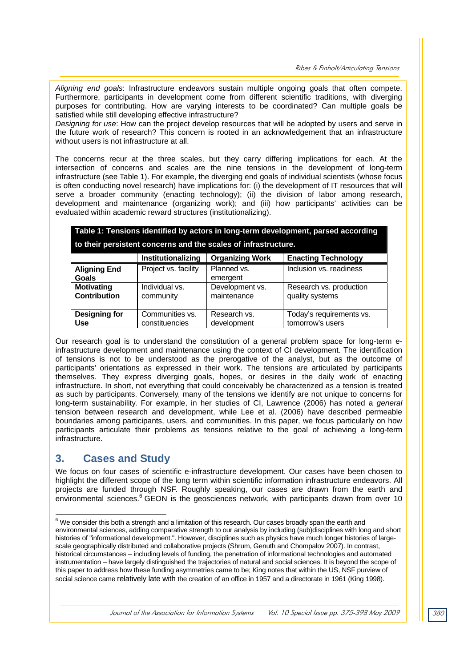*Aligning end goals*: Infrastructure endeavors sustain multiple ongoing goals that often compete. Furthermore, participants in development come from different scientific traditions, with diverging purposes for contributing. How are varying interests to be coordinated? Can multiple goals be satisfied while still developing effective infrastructure?

*Designing for use*: How can the project develop resources that will be adopted by users and serve in the future work of research? This concern is rooted in an acknowledgement that an infrastructure without users is not infrastructure at all.

The concerns recur at the three scales, but they carry differing implications for each. At the intersection of concerns and scales are the nine tensions in the development of long-term infrastructure (see Table 1). For example, the diverging end goals of individual scientists (whose focus is often conducting novel research) have implications for: (i) the development of IT resources that will serve a broader community (enacting technology); (ii) the division of labor among research, development and maintenance (organizing work); and (iii) how participants' activities can be evaluated within academic reward structures (institutionalizing).

| Table 1: Tensions identified by actors in long-term development, parsed according |  |
|-----------------------------------------------------------------------------------|--|
| to their persistent concerns and the scales of infrastructure.                    |  |

|                              | Institutionalizing   | <b>Organizing Work</b>  | <b>Enacting Technology</b> |
|------------------------------|----------------------|-------------------------|----------------------------|
| <b>Aligning End</b><br>Goals | Project vs. facility | Planned vs.<br>emergent | Inclusion vs. readiness    |
| <b>Motivating</b>            | Individual vs.       | Development vs.         | Research vs. production    |
| <b>Contribution</b>          | community            | maintenance             | quality systems            |
| <b>Designing for</b>         | Communities vs.      | Research vs.            | Today's requirements vs.   |
| <b>Use</b>                   | constituencies       | development             | tomorrow's users           |

Our research goal is to understand the constitution of a general problem space for long-term einfrastructure development and maintenance using the context of CI development. The identification of tensions is not to be understood as the prerogative of the analyst, but as the outcome of participants' orientations as expressed in their work. The tensions are articulated by participants themselves. They express diverging goals, hopes, or desires in the daily work of enacting infrastructure. In short, not everything that could conceivably be characterized as a tension is treated as such by participants. Conversely, many of the tensions we identify are not unique to concerns for long-term sustainability. For example, in her studies of CI, Lawrence (2006) has noted a *general* tension between research and development, while Lee et al. (2006) have described permeable boundaries among participants, users, and communities. In this paper, we focus particularly on how participants articulate their problems *as* tensions relative to the goal of achieving a long-term infrastructure.

## **3. Cases and Study**

We focus on four cases of scientific e-infrastructure development. Our cases have been chosen to highlight the different scope of the long term within scientific information infrastructure endeavors. All projects are funded through NSF. Roughly speaking, our cases are drawn from the earth and environmental sciences.<sup>6</sup> GEON is the geosciences network, with participants drawn from over 10

 6 We consider this both a strength and a limitation of this research. Our cases broadly span the earth and environmental sciences, adding comparative strength to our analysis by including (sub)disciplines with long and short histories of "informational development.". However, disciplines such as physics have much longer histories of largescale geographically distributed and collaborative projects (Shrum, Genuth and Chompalov 2007). In contrast, historical circumstances – including levels of funding, the penetration of informational technologies and automated instrumentation – have largely distinguished the trajectories of natural and social sciences. It is beyond the scope of this paper to address how these funding asymmetries came to be; King notes that within the US, NSF purview of social science came relatively late with the creation of an office in 1957 and a directorate in 1961 (King 1998).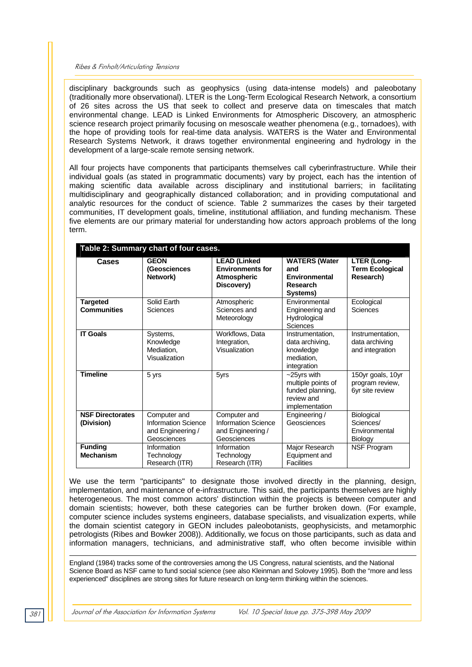disciplinary backgrounds such as geophysics (using data-intense models) and paleobotany (traditionally more observational). LTER is the Long-Term Ecological Research Network, a consortium of 26 sites across the US that seek to collect and preserve data on timescales that match environmental change. LEAD is Linked Environments for Atmospheric Discovery, an atmospheric science research project primarily focusing on mesoscale weather phenomena (e.g., tornadoes), with the hope of providing tools for real-time data analysis. WATERS is the Water and Environmental Research Systems Network, it draws together environmental engineering and hydrology in the development of a large-scale remote sensing network.

All four projects have components that participants themselves call cyberinfrastructure. While their individual goals (as stated in programmatic documents) vary by project, each has the intention of making scientific data available across disciplinary and institutional barriers; in facilitating multidisciplinary and geographically distanced collaboration; and in providing computational and analytic resources for the conduct of science. Table 2 summarizes the cases by their targeted communities, IT development goals, timeline, institutional affiliation, and funding mechanism. These five elements are our primary material for understanding how actors approach problems of the long term.

| Table 2: Summary chart of four cases. |                                                                         |                                                                                    |                                                                                          |                                                            |  |  |  |
|---------------------------------------|-------------------------------------------------------------------------|------------------------------------------------------------------------------------|------------------------------------------------------------------------------------------|------------------------------------------------------------|--|--|--|
| Cases                                 | <b>GEON</b><br>(Geosciences<br>Network)                                 | <b>LEAD (Linked</b><br><b>Environments for</b><br><b>Atmospheric</b><br>Discovery) | <b>WATERS (Water</b><br>and<br>Environmental<br>Research<br>Systems)                     | <b>LTER (Long-</b><br><b>Term Ecological</b><br>Research)  |  |  |  |
| <b>Targeted</b><br><b>Communities</b> | Solid Earth<br>Sciences                                                 | Atmospheric<br>Sciences and<br>Meteorology                                         | Fnvironmental<br>Engineering and<br>Hydrological<br>Sciences                             | Ecological<br>Sciences                                     |  |  |  |
| <b>IT Goals</b>                       | Systems,<br>Knowledge<br>Mediation,<br>Visualization                    | Workflows, Data<br>Integration,<br>Visualization                                   | Instrumentation.<br>data archiving.<br>knowledge<br>mediation.<br>integration            | Instrumentation,<br>data archiving<br>and integration      |  |  |  |
| <b>Timeline</b>                       | 5 yrs                                                                   | 5yrs                                                                               | $-25$ yrs with<br>multiple points of<br>funded planning,<br>review and<br>implementation | 150yr goals, 10yr<br>program review,<br>6yr site review    |  |  |  |
| <b>NSF Directorates</b><br>(Division) | Computer and<br>Information Science<br>and Engineering /<br>Geosciences | Computer and<br><b>Information Science</b><br>and Engineering /<br>Geosciences     | Engineering /<br>Geosciences                                                             | <b>Biological</b><br>Sciences/<br>Environmental<br>Biology |  |  |  |
| <b>Funding</b><br><b>Mechanism</b>    | Information<br>Technology<br>Research (ITR)                             | Information<br>Technology<br>Research (ITR)                                        | Major Research<br>Equipment and<br>Facilities                                            | <b>NSF Program</b>                                         |  |  |  |

We use the term "participants" to designate those involved directly in the planning, design, implementation, and maintenance of e-infrastructure. This said, the participants themselves are highly heterogeneous. The most common actors' distinction within the projects is between computer and domain scientists; however, both these categories can be further broken down. (For example, computer science includes systems engineers, database specialists, and visualization experts, while the domain scientist category in GEON includes paleobotanists, geophysicists, and metamorphic petrologists (Ribes and Bowker 2008)). Additionally, we focus on those participants, such as data and information managers, technicians, and administrative staff, who often become invisible within

England (1984) tracks some of the controversies among the US Congress, natural scientists, and the National Science Board as NSF came to fund social science (see also Kleinman and Solovey 1995). Both the "more and less experienced" disciplines are strong sites for future research on long-term thinking within the sciences.

l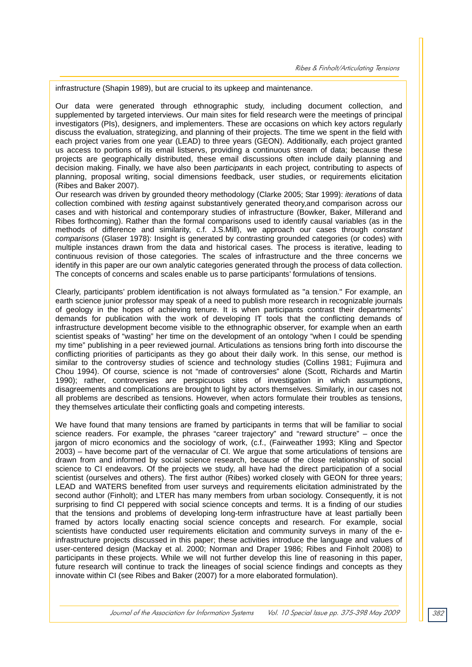infrastructure (Shapin 1989), but are crucial to its upkeep and maintenance.

Our data were generated through ethnographic study, including document collection, and supplemented by targeted interviews. Our main sites for field research were the meetings of principal investigators (PIs), designers, and implementers. These are occasions on which key actors regularly discuss the evaluation, strategizing, and planning of their projects. The time we spent in the field with each project varies from one year (LEAD) to three years (GEON). Additionally, each project granted us access to portions of its email listservs, providing a continuous stream of data; because these projects are geographically distributed, these email discussions often include daily planning and decision making. Finally, we have also been *participants* in each project*,* contributing to aspects of planning, proposal writing, social dimensions feedback, user studies, or requirements elicitation (Ribes and Baker 2007).

Our research was driven by grounded theory methodology (Clarke 2005; Star 1999): *iterations* of data collection combined with *testing* against substantively generated theory,and comparison across our cases and with historical and contemporary studies of infrastructure (Bowker, Baker, Millerand and Ribes forthcoming). Rather than the formal comparisons used to identify causal variables (as in the methods of difference and similarity, c.f. J.S.Mill), we approach our cases through *constant comparisons* (Glaser 1978): Insight is generated by contrasting grounded categories (or codes) with multiple instances drawn from the data and historical cases. The process is iterative, leading to continuous revision of those categories. The scales of infrastructure and the three concerns we identify in this paper are our own analytic categories generated through the process of data collection. The concepts of concerns and scales enable us to parse participants' formulations of tensions.

Clearly, participants' problem identification is not always formulated as "a tension." For example, an earth science junior professor may speak of a need to publish more research in recognizable journals of geology in the hopes of achieving tenure. It is when participants contrast their departments' demands for publication with the work of developing IT tools that the conflicting demands of infrastructure development become visible to the ethnographic observer, for example when an earth scientist speaks of "wasting" her time on the development of an ontology "when I could be spending my time" publishing in a peer reviewed journal. Articulations as tensions bring forth into discourse the conflicting priorities of participants as they go about their daily work. In this sense, our method is similar to the controversy studies of science and technology studies (Collins 1981; Fujimura and Chou 1994). Of course, science is not "made of controversies" alone (Scott, Richards and Martin 1990); rather, controversies are perspicuous sites of investigation in which assumptions, disagreements and complications are brought to light by actors themselves. Similarly, in our cases not all problems are described as tensions. However, when actors formulate their troubles as tensions, they themselves articulate their conflicting goals and competing interests.

We have found that many tensions are framed by participants in terms that will be familiar to social science readers. For example, the phrases "career trajectory" and "reward structure" – once the jargon of micro economics and the sociology of work, (c.f., (Fairweather 1993; Kling and Spector 2003) – have become part of the vernacular of CI. We argue that some articulations of tensions are drawn from and informed by social science research, because of the close relationship of social science to CI endeavors. Of the projects we study, all have had the direct participation of a social scientist (ourselves and others). The first author (Ribes) worked closely with GEON for three years; LEAD and WATERS benefited from user surveys and requirements elicitation administrated by the second author (Finholt); and LTER has many members from urban sociology. Consequently, it is not surprising to find CI peppered with social science concepts and terms. It is a finding of our studies that the tensions and problems of developing long-term infrastructure have at least partially been framed by actors locally enacting social science concepts and research. For example, social scientists have conducted user requirements elicitation and community surveys in many of the einfrastructure projects discussed in this paper; these activities introduce the language and values of user-centered design (Mackay et al. 2000; Norman and Draper 1986; Ribes and Finholt 2008) to participants in these projects. While we will not further develop this line of reasoning in this paper, future research will continue to track the lineages of social science findings and concepts as they innovate within CI (see Ribes and Baker (2007) for a more elaborated formulation).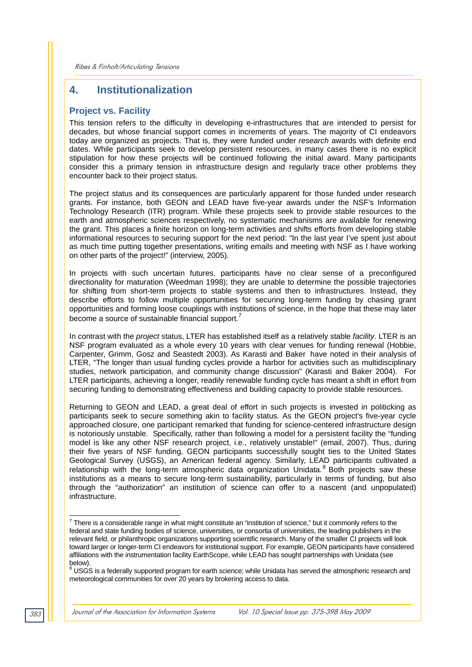## **4. Institutionalization**

#### **Project vs. Facility**

This tension refers to the difficulty in developing e-infrastructures that are intended to persist for decades, but whose financial support comes in increments of years. The majority of CI endeavors today are organized as projects. That is, they were funded under *research* awards with definite end dates. While participants seek to develop persistent resources, in many cases there is no explicit stipulation for how these projects will be continued following the initial award. Many participants consider this a primary tension in infrastructure design and regularly trace other problems they encounter back to their project status.

The project status and its consequences are particularly apparent for those funded under research grants. For instance, both GEON and LEAD have five-year awards under the NSF's Information Technology Research (ITR) program. While these projects seek to provide stable resources to the earth and atmospheric sciences respectively, no systematic mechanisms are available for renewing the grant. This places a finite horizon on long-term activities and shifts efforts from developing stable informational resources to securing support for the next period: "In the last year I've spent just about as much time putting together presentations, writing emails and meeting with NSF as I have working on other parts of the project!" (interview, 2005).

In projects with such uncertain futures, participants have no clear sense of a preconfigured directionality for maturation (Weedman 1998); they are unable to determine the possible trajectories for shifting from short-term projects to stable systems and then to infrastructures. Instead, they describe efforts to follow multiple opportunities for securing long-term funding by chasing grant opportunities and forming loose couplings with institutions of science, in the hope that these may later become a source of sustainable financial support. $^7$ 

In contrast with the *project* status, LTER has established itself as a relatively stable *facility*. LTER is an NSF program evaluated as a whole every 10 years with clear venues for funding renewal (Hobbie, Carpenter, Grimm, Gosz and Seastedt 2003). As Karasti and Baker have noted in their analysis of LTER, "The longer than usual funding cycles provide a harbor for activities such as multidisciplinary studies, network participation, and community change discussion" (Karasti and Baker 2004). For LTER participants, achieving a longer, readily renewable funding cycle has meant a shift in effort from securing funding to demonstrating effectiveness and building capacity to provide stable resources.

Returning to GEON and LEAD, a great deal of effort in such projects is invested in politicking as participants seek to secure something akin to facility status. As the GEON project's five-year cycle approached closure, one participant remarked that funding for science-centered infrastructure design is notoriously unstable. Specifically, rather than following a model for a persistent facility the "funding model is like any other NSF research project, i.e., relatively unstable!" (email, 2007). Thus, during their five years of NSF funding, GEON participants successfully sought ties to the United States Geological Survey (USGS), an American federal agency. Similarly, LEAD participants cultivated a relationship with the long-term atmospheric data organization Unidata.<sup>8</sup> Both projects saw these institutions as a means to secure long-term sustainability, particularly in terms of funding, but also through the "authorization" an institution of science can offer to a nascent (and unpopulated) infrastructure.

 7 There is a considerable range in what might constitute an "institution of science," but it commonly refers to the federal and state funding bodies of science, universities, or consortia of universities, the leading publishers in the relevant field, or philanthropic organizations supporting scientific research. Many of the smaller CI projects will look toward larger or longer-term CI endeavors for institutional support. For example, GEON participants have considered affiliations with the instrumentation facility EarthScope, while LEAD has sought partnerships with Unidata (see below).

 $^8$  USGS is a federally supported program for earth science; while Unidata has served the atmospheric research and meteorological communities for over 20 years by brokering access to data.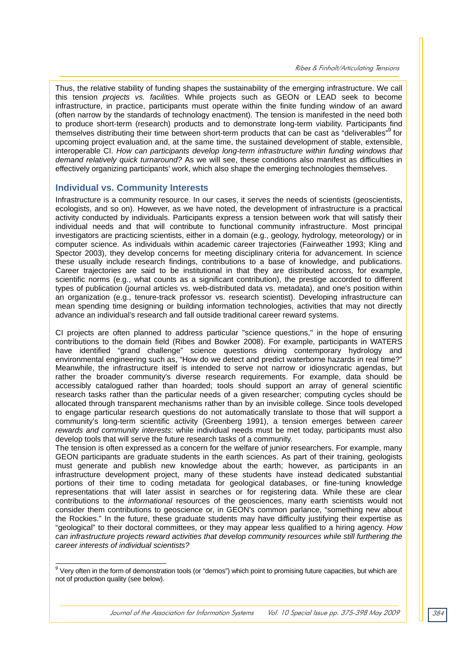Thus, the relative stability of funding shapes the sustainability of the emerging infrastructure. We call this tension *projects vs. facilities*. While projects such as GEON or LEAD seek to become infrastructure, in practice, participants must operate within the finite funding window of an award (often narrow by the standards of technology enactment). The tension is manifested in the need both to produce short-term (research) products and to demonstrate long-term viability. Participants find themselves distributing their time between short-term products that can be cast as "deliverables"<sup>9</sup> for upcoming project evaluation and, at the same time, the sustained development of stable, extensible, interoperable CI. *How can participants develop long-term infrastructure within funding windows that demand relatively quick turnaround?* As we will see, these conditions also manifest as difficulties in effectively organizing participants' work, which also shape the emerging technologies themselves.

#### **Individual vs. Community Interests**

Infrastructure is a community resource. In our cases, it serves the needs of scientists (geoscientists, ecologists, and so on). However, as we have noted, the development of infrastructure is a practical activity conducted by individuals. Participants express a tension between work that will satisfy their individual needs and that will contribute to functional community infrastructure. Most principal investigators are practicing scientists, either in a domain (e.g., geology, hydrology, meteorology) or in computer science. As individuals within academic career trajectories (Fairweather 1993; Kling and Spector 2003), they develop concerns for meeting disciplinary criteria for advancement. In science these usually include research findings, contributions to a base of knowledge, and publications. Career trajectories are said to be institutional in that they are distributed across, for example, scientific norms (e.g., what counts as a significant contribution), the prestige accorded to different types of publication (journal articles vs. web-distributed data vs. metadata), and one's position within an organization (e.g., tenure-track professor vs. research scientist). Developing infrastructure can mean spending time designing or building information technologies, activities that may not directly advance an individual's research and fall outside traditional career reward systems.

CI projects are often planned to address particular "science questions," in the hope of ensuring contributions to the domain field (Ribes and Bowker 2008). For example, participants in WATERS have identified "grand challenge" science questions driving contemporary hydrology and environmental engineering such as, "How do we detect and predict waterborne hazards in real time?" Meanwhile, the infrastructure itself is intended to serve not narrow or idiosyncratic agendas, but rather the broader community's diverse research requirements. For example, data should be accessibly catalogued rather than hoarded; tools should support an array of general scientific research tasks rather than the particular needs of a given researcher; computing cycles should be allocated through transparent mechanisms rather than by an invisible college. Since tools developed to engage particular research questions do not automatically translate to those that will support a community's long-term scientific activity (Greenberg 1991), a tension emerges between *career rewards and community interests*: while individual needs must be met today, participants must also develop tools that will serve the future research tasks of a community.

The tension is often expressed as a concern for the welfare of junior researchers. For example, many GEON participants are graduate students in the earth sciences. As part of their training, geologists must generate and publish new knowledge about the earth; however, as participants in an infrastructure development project, many of these students have instead dedicated substantial portions of their time to coding metadata for geological databases, or fine-tuning knowledge representations that will later assist in searches or for registering data. While these are clear contributions to the *informational* resources of the geosciences, many earth scientists would not consider them contributions to geoscience or, in GEON's common parlance, "something new about the Rockies." In the future, these graduate students may have difficulty justifying their expertise as "geological" to their doctoral committees, or they may appear less qualified to a hiring agency. *How can infrastructure projects reward activities that develop community resources while still furthering the career interests of individual scientists?* 

 9 Very often in the form of demonstration tools (or "demos") which point to promising future capacities, but which are not of production quality (see below).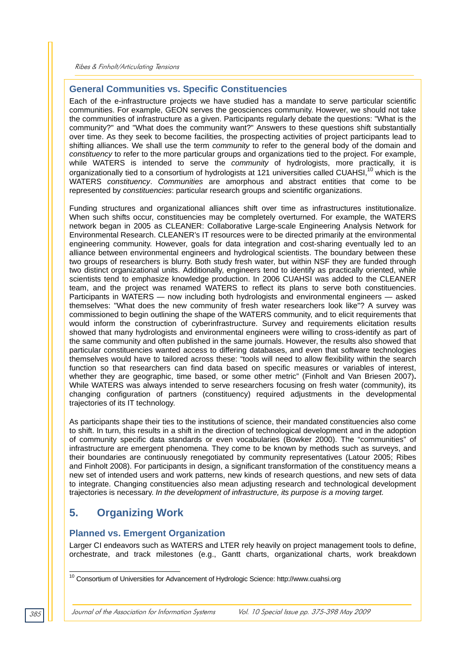#### **General Communities vs. Specific Constituencies**

Each of the e-infrastructure projects we have studied has a mandate to serve particular scientific communities. For example, GEON serves the geosciences community. However, we should not take the communities of infrastructure as a given. Participants regularly debate the questions: "What is the community?" and "What does the community want?" Answers to these questions shift substantially over time. As they seek to become facilities, the prospecting activities of project participants lead to shifting alliances. We shall use the term *community* to refer to the general body of the domain and *constituency* to refer to the more particular groups and organizations tied to the project. For example, while WATERS is intended to serve the *community* of hydrologists, more practically, it is organizationally tied to a consortium of hydrologists at 121 universities called CUAHSI,<sup>10</sup> which is the WATERS *constituency*. *Communities* are amorphous and abstract entities that come to be represented by *constituencies*: particular research groups and scientific organizations.

Funding structures and organizational alliances shift over time as infrastructures institutionalize. When such shifts occur, constituencies may be completely overturned. For example, the WATERS network began in 2005 as CLEANER: Collaborative Large-scale Engineering Analysis Network for Environmental Research. CLEANER's IT resources were to be directed primarily at the environmental engineering community. However, goals for data integration and cost-sharing eventually led to an alliance between environmental engineers and hydrological scientists. The boundary between these two groups of researchers is blurry. Both study fresh water, but within NSF they are funded through two distinct organizational units. Additionally, engineers tend to identify as practically oriented, while scientists tend to emphasize knowledge production. In 2006 CUAHSI was added to the CLEANER team, and the project was renamed WATERS to reflect its plans to serve both constituencies. Participants in WATERS — now including both hydrologists and environmental engineers — asked themselves: "What does the new community of fresh water researchers look like"? A survey was commissioned to begin outlining the shape of the WATERS community, and to elicit requirements that would inform the construction of cyberinfrastructure. Survey and requirements elicitation results showed that many hydrologists and environmental engineers were willing to cross-identify as part of the same community and often published in the same journals. However, the results also showed that particular constituencies wanted access to differing databases, and even that software technologies themselves would have to tailored across these: "tools will need to allow flexibility within the search function so that researchers can find data based on specific measures or variables of interest, whether they are geographic, time based, or some other metric" (Finholt and Van Briesen 2007)**.** While WATERS was always intended to serve researchers focusing on fresh water (community), its changing configuration of partners (constituency) required adjustments in the developmental trajectories of its IT technology.

As participants shape their ties to the institutions of science, their mandated constituencies also come to shift. In turn, this results in a shift in the direction of technological development and in the adoption of community specific data standards or even vocabularies (Bowker 2000). The "communities" of infrastructure are emergent phenomena. They come to be known by methods such as surveys, and their boundaries are continuously renegotiated by community representatives (Latour 2005; Ribes and Finholt 2008). For participants in design, a significant transformation of the constituency means a new set of intended users and work patterns, new kinds of research questions, and new sets of data to integrate. Changing constituencies also mean adjusting research and technological development trajectories is necessary. *In the development of infrastructure, its purpose is a moving target.* 

# **5. Organizing Work**

## **Planned vs. Emergent Organization**

Larger CI endeavors such as WATERS and LTER rely heavily on project management tools to define, orchestrate, and track milestones (e.g., Gantt charts, organizational charts, work breakdown

l

 $10$  Consortium of Universities for Advancement of Hydrologic Science: http://www.cuahsi.org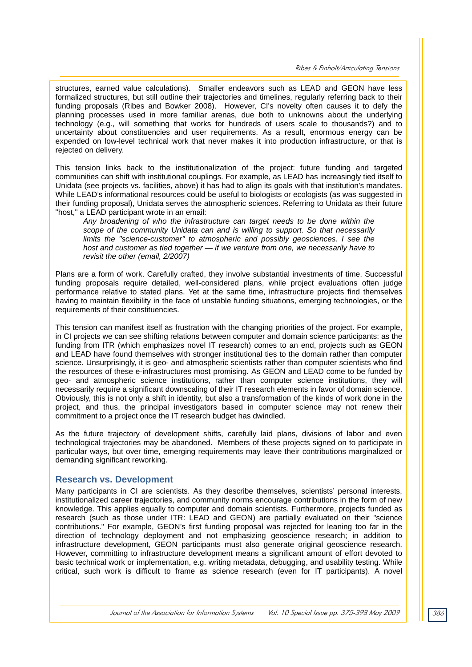structures, earned value calculations). Smaller endeavors such as LEAD and GEON have less formalized structures, but still outline their trajectories and timelines, regularly referring back to their funding proposals (Ribes and Bowker 2008). However, CI's novelty often causes it to defy the planning processes used in more familiar arenas, due both to unknowns about the underlying technology (e.g., will something that works for hundreds of users scale to thousands?) and to uncertainty about constituencies and user requirements. As a result, enormous energy can be expended on low-level technical work that never makes it into production infrastructure, or that is rejected on delivery.

This tension links back to the institutionalization of the project: future funding and targeted communities can shift with institutional couplings. For example, as LEAD has increasingly tied itself to Unidata (see projects vs. facilities, above) it has had to align its goals with that institution's mandates. While LEAD's informational resources could be useful to biologists or ecologists (as was suggested in their funding proposal), Unidata serves the atmospheric sciences. Referring to Unidata as their future "host," a LEAD participant wrote in an email:

*Any broadening of who the infrastructure can target needs to be done within the scope of the community Unidata can and is willing to support. So that necessarily limits the "science-customer" to atmospheric and possibly geosciences. I see the host and customer as tied together — if we venture from one, we necessarily have to revisit the other (email, 2/2007)* 

Plans are a form of work. Carefully crafted, they involve substantial investments of time. Successful funding proposals require detailed, well-considered plans, while project evaluations often judge performance relative to stated plans. Yet at the same time, infrastructure projects find themselves having to maintain flexibility in the face of unstable funding situations, emerging technologies, or the requirements of their constituencies.

This tension can manifest itself as frustration with the changing priorities of the project. For example, in CI projects we can see shifting relations between computer and domain science participants: as the funding from ITR (which emphasizes novel IT research) comes to an end, projects such as GEON and LEAD have found themselves with stronger institutional ties to the domain rather than computer science. Unsurprisingly, it is geo- and atmospheric scientists rather than computer scientists who find the resources of these e-infrastructures most promising. As GEON and LEAD come to be funded by geo- and atmospheric science institutions, rather than computer science institutions, they will necessarily require a significant downscaling of their IT research elements in favor of domain science. Obviously, this is not only a shift in identity, but also a transformation of the kinds of work done in the project, and thus, the principal investigators based in computer science may not renew their commitment to a project once the IT research budget has dwindled.

As the future trajectory of development shifts, carefully laid plans, divisions of labor and even technological trajectories may be abandoned. Members of these projects signed on to participate in particular ways, but over time, emerging requirements may leave their contributions marginalized or demanding significant reworking.

#### **Research vs. Development**

Many participants in CI are scientists. As they describe themselves, scientists' personal interests, institutionalized career trajectories, and community norms encourage contributions in the form of new knowledge. This applies equally to computer and domain scientists. Furthermore, projects funded as research (such as those under ITR: LEAD and GEON) are partially evaluated on their "science contributions." For example, GEON's first funding proposal was rejected for leaning too far in the direction of technology deployment and not emphasizing geoscience research; in addition to infrastructure development, GEON participants must also generate original geoscience research. However, committing to infrastructure development means a significant amount of effort devoted to basic technical work or implementation, e.g. writing metadata, debugging, and usability testing. While critical, such work is difficult to frame as science research (even for IT participants). A novel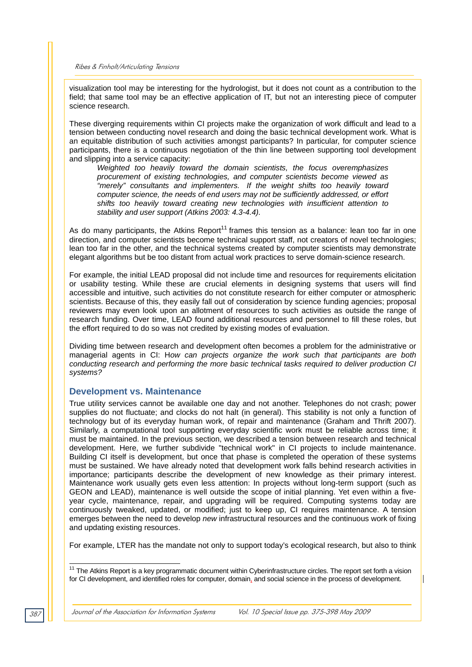visualization tool may be interesting for the hydrologist, but it does not count as a contribution to the field; that same tool may be an effective application of IT, but not an interesting piece of computer science research.

These diverging requirements within CI projects make the organization of work difficult and lead to a tension between conducting novel research and doing the basic technical development work. What is an equitable distribution of such activities amongst participants? In particular, for computer science participants, there is a continuous negotiation of the thin line between supporting tool development and slipping into a service capacity:

*Weighted too heavily toward the domain scientists, the focus overemphasizes procurement of existing technologies, and computer scientists become viewed as "merely" consultants and implementers. If the weight shifts too heavily toward computer science, the needs of end users may not be sufficiently addressed, or effort shifts too heavily toward creating new technologies with insufficient attention to stability and user support (Atkins 2003: 4.3-4.4).* 

As do many participants, the Atkins Report<sup>11</sup> frames this tension as a balance: lean too far in one direction, and computer scientists become technical support staff, not creators of novel technologies; lean too far in the other, and the technical systems created by computer scientists may demonstrate elegant algorithms but be too distant from actual work practices to serve domain-science research.

For example, the initial LEAD proposal did not include time and resources for requirements elicitation or usability testing. While these are crucial elements in designing systems that users will find accessible and intuitive, such activities do not constitute research for either computer or atmospheric scientists. Because of this, they easily fall out of consideration by science funding agencies; proposal reviewers may even look upon an allotment of resources to such activities as outside the range of research funding. Over time, LEAD found additional resources and personnel to fill these roles, but the effort required to do so was not credited by existing modes of evaluation.

Dividing time between research and development often becomes a problem for the administrative or managerial agents in CI: H*ow can projects organize the work such that participants are both conducting research and performing the more basic technical tasks required to deliver production CI systems?*

#### **Development vs. Maintenance**

True utility services cannot be available one day and not another. Telephones do not crash; power supplies do not fluctuate; and clocks do not halt (in general). This stability is not only a function of technology but of its everyday human work, of repair and maintenance (Graham and Thrift 2007). Similarly, a computational tool supporting everyday scientific work must be reliable across time; it must be maintained. In the previous section, we described a tension between research and technical development. Here, we further subdivide "technical work" in CI projects to include maintenance. Building CI itself is development, but once that phase is completed the operation of these systems must be sustained. We have already noted that development work falls behind research activities in importance; participants describe the development of new knowledge as their primary interest. Maintenance work usually gets even less attention: In projects without long-term support (such as GEON and LEAD), maintenance is well outside the scope of initial planning. Yet even within a fiveyear cycle, maintenance, repair, and upgrading will be required. Computing systems today are continuously tweaked, updated, or modified; just to keep up, CI requires maintenance. A tension emerges between the need to develop *new* infrastructural resources and the continuous work of fixing and updating existing resources.

For example, LTER has the mandate not only to support today's ecological research, but also to think

l <sup>11</sup> The Atkins Report is a key programmatic document within Cyberinfrastructure circles. The report set forth a vision for CI development, and identified roles for computer, domain, and social science in the process of development.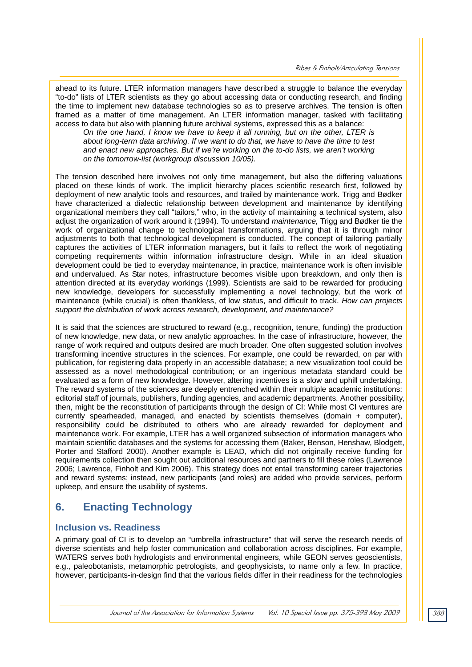ahead to its future. LTER information managers have described a struggle to balance the everyday "to-do" lists of LTER scientists as they go about accessing data or conducting research, and finding the time to implement new database technologies so as to preserve archives. The tension is often framed as a matter of time management. An LTER information manager, tasked with facilitating access to data but also with planning future archival systems, expressed this as a balance:

*On the one hand, I know we have to keep it all running, but on the other, LTER is about long-term data archiving. If we want to do that, we have to have the time to test and enact new approaches. But if we're working on the to-do lists, we aren't working on the tomorrow-list (workgroup discussion 10/05).* 

The tension described here involves not only time management, but also the differing valuations placed on these kinds of work. The implicit hierarchy places scientific research first, followed by deployment of new analytic tools and resources, and trailed by maintenance work. Trigg and Bødker have characterized a dialectic relationship between development and maintenance by identifying organizational members they call "tailors," who, in the activity of maintaining a technical system, also adjust the organization of work around it (1994). To understand *maintenance,* Trigg and Bødker tie the work of organizational change to technological transformations, arguing that it is through minor adjustments to both that technological development is conducted. The concept of tailoring partially captures the activities of LTER information managers, but it fails to reflect the work of negotiating competing requirements within information infrastructure design. While in an ideal situation development could be tied to everyday maintenance, in practice, maintenance work is often invisible and undervalued. As Star notes, infrastructure becomes visible upon breakdown, and only then is attention directed at its everyday workings (1999). Scientists are said to be rewarded for producing new knowledge, developers for successfully implementing a novel technology, but the work of maintenance (while crucial) is often thankless, of low status, and difficult to track. *How can projects support the distribution of work across research, development, and maintenance?* 

It is said that the sciences are structured to reward (e.g., recognition, tenure, funding) the production of new knowledge, new data, or new analytic approaches. In the case of infrastructure, however, the range of work required and outputs desired are much broader. One often suggested solution involves transforming incentive structures in the sciences. For example, one could be rewarded, on par with publication, for registering data properly in an accessible database; a new visualization tool could be assessed as a novel methodological contribution; or an ingenious metadata standard could be evaluated as a form of new knowledge. However, altering incentives is a slow and uphill undertaking. The reward systems of the sciences are deeply entrenched within their multiple academic institutions: editorial staff of journals, publishers, funding agencies, and academic departments. Another possibility, then, might be the reconstitution of participants through the design of CI: While most CI ventures are currently spearheaded, managed, and enacted by scientists themselves (domain + computer), responsibility could be distributed to others who are already rewarded for deployment and maintenance work. For example, LTER has a well organized subsection of information managers who maintain scientific databases and the systems for accessing them (Baker, Benson, Henshaw, Blodgett, Porter and Stafford 2000). Another example is LEAD, which did not originally receive funding for requirements collection then sought out additional resources and partners to fill these roles (Lawrence 2006; Lawrence, Finholt and Kim 2006). This strategy does not entail transforming career trajectories and reward systems; instead, new participants (and roles) are added who provide services, perform upkeep, and ensure the usability of systems.

# **6. Enacting Technology**

## **Inclusion vs. Readiness**

A primary goal of CI is to develop an "umbrella infrastructure" that will serve the research needs of diverse scientists and help foster communication and collaboration across disciplines. For example, WATERS serves both hydrologists and environmental engineers, while GEON serves geoscientists, e.g., paleobotanists, metamorphic petrologists, and geophysicists, to name only a few. In practice, however, participants-in-design find that the various fields differ in their readiness for the technologies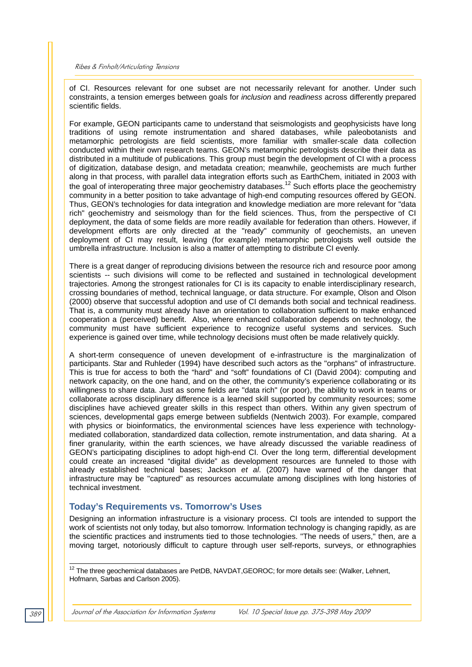of CI. Resources relevant for one subset are not necessarily relevant for another. Under such constraints, a tension emerges between goals for *inclusion* and *readiness* across differently prepared scientific fields.

For example, GEON participants came to understand that seismologists and geophysicists have long traditions of using remote instrumentation and shared databases, while paleobotanists and metamorphic petrologists are field scientists, more familiar with smaller-scale data collection conducted within their own research teams. GEON's metamorphic petrologists describe their data as distributed in a multitude of publications. This group must begin the development of CI with a process of digitization, database design, and metadata creation; meanwhile, geochemists are much further along in that process, with parallel data integration efforts such as EarthChem, initiated in 2003 with the goal of interoperating three major geochemistry databases.<sup>12</sup> Such efforts place the geochemistry community in a better position to take advantage of high-end computing resources offered by GEON. Thus, GEON's technologies for data integration and knowledge mediation are more relevant for "data rich" geochemistry and seismology than for the field sciences. Thus, from the perspective of CI deployment, the data of some fields are more readily available for federation than others. However, if development efforts are only directed at the "ready" community of geochemists, an uneven deployment of CI may result, leaving (for example) metamorphic petrologists well outside the umbrella infrastructure. Inclusion is also a matter of attempting to distribute CI evenly.

There is a great danger of reproducing divisions between the resource rich and resource poor among scientists -- such divisions will come to be reflected and sustained in technological development trajectories. Among the strongest rationales for CI is its capacity to enable interdisciplinary research, crossing boundaries of method, technical language, or data structure. For example, Olson and Olson (2000) observe that successful adoption and use of CI demands both social and technical readiness. That is, a community must already have an orientation to collaboration sufficient to make enhanced cooperation a (perceived) benefit. Also, where enhanced collaboration depends on technology, the community must have sufficient experience to recognize useful systems and services. Such experience is gained over time, while technology decisions must often be made relatively quickly.

A short-term consequence of uneven development of e-infrastructure is the marginalization of participants. Star and Ruhleder (1994) have described such actors as the "orphans" of infrastructure. This is true for access to both the "hard" and "soft" foundations of CI (David 2004): computing and network capacity, on the one hand, and on the other, the community's experience collaborating or its willingness to share data. Just as some fields are "data rich" (or poor), the ability to work in teams or collaborate across disciplinary difference is a learned skill supported by community resources; some disciplines have achieved greater skills in this respect than others. Within any given spectrum of sciences, developmental gaps emerge between subfields (Nentwich 2003). For example, compared with physics or bioinformatics, the environmental sciences have less experience with technologymediated collaboration, standardized data collection, remote instrumentation, and data sharing. At a finer granularity, within the earth sciences, we have already discussed the variable readiness of GEON's participating disciplines to adopt high-end CI. Over the long term, differential development could create an increased "digital divide" as development resources are funneled to those with already established technical bases; Jackson *et al*. (2007) have warned of the danger that infrastructure may be "captured" as resources accumulate among disciplines with long histories of technical investment.

## **Today's Requirements vs. Tomorrow's Uses**

Designing an information infrastructure is a visionary process. CI tools are intended to support the work of scientists not only today, but also tomorrow. Information technology is changing rapidly, as are the scientific practices and instruments tied to those technologies. "The needs of users," then, are a moving target, notoriously difficult to capture through user self-reports, surveys, or ethnographies

l <sup>12</sup> The three geochemical databases are PetDB, NAVDAT, GEOROC; for more details see: (Walker, Lehnert, Hofmann, Sarbas and Carlson 2005).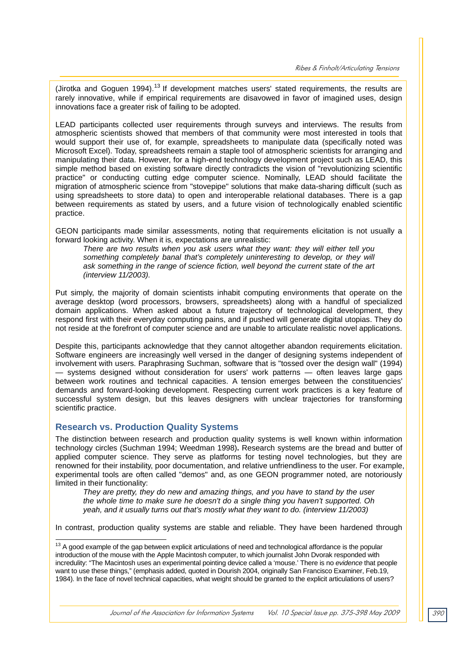(Jirotka and Goguen 1994).<sup>13</sup> If development matches users' stated requirements, the results are rarely innovative, while if empirical requirements are disavowed in favor of imagined uses, design innovations face a greater risk of failing to be adopted.

LEAD participants collected user requirements through surveys and interviews. The results from atmospheric scientists showed that members of that community were most interested in tools that would support their use of, for example, spreadsheets to manipulate data (specifically noted was Microsoft Excel). Today, spreadsheets remain a staple tool of atmospheric scientists for arranging and manipulating their data. However, for a high-end technology development project such as LEAD, this simple method based on existing software directly contradicts the vision of "revolutionizing scientific practice" or conducting cutting edge computer science. Nominally, LEAD should facilitate the migration of atmospheric science from "stovepipe" solutions that make data-sharing difficult (such as using spreadsheets to store data) to open and interoperable relational databases. There is a gap between requirements as stated by users, and a future vision of technologically enabled scientific practice.

GEON participants made similar assessments, noting that requirements elicitation is not usually a forward looking activity. When it is, expectations are unrealistic:

*There are two results when you ask users what they want: they will either tell you*  something completely banal that's completely uninteresting to develop, or they will *ask something in the range of science fiction, well beyond the current state of the art (interview 11/2003).* 

Put simply, the majority of domain scientists inhabit computing environments that operate on the average desktop (word processors, browsers, spreadsheets) along with a handful of specialized domain applications. When asked about a future trajectory of technological development, they respond first with their everyday computing pains, and if pushed will generate digital utopias. They do not reside at the forefront of computer science and are unable to articulate realistic novel applications.

Despite this, participants acknowledge that they cannot altogether abandon requirements elicitation. Software engineers are increasingly well versed in the danger of designing systems independent of involvement with users. Paraphrasing Suchman, software that is "tossed over the design wall" (1994) — systems designed without consideration for users' work patterns — often leaves large gaps between work routines and technical capacities. A tension emerges between the constituencies' demands and forward-looking development. Respecting current work practices is a key feature of successful system design, but this leaves designers with unclear trajectories for transforming scientific practice.

## **Research vs. Production Quality Systems**

The distinction between research and production quality systems is well known within information technology circles (Suchman 1994; Weedman 1998)**.** Research systems are the bread and butter of applied computer science. They serve as platforms for testing novel technologies, but they are renowned for their instability, poor documentation, and relative unfriendliness to the user. For example, experimental tools are often called "demos" and, as one GEON programmer noted, are notoriously limited in their functionality:

*They are pretty, they do new and amazing things, and you have to stand by the user the whole time to make sure he doesn't do a single thing you haven't supported. Oh yeah, and it usually turns out that's mostly what they want to do. (interview 11/2003)* 

In contrast, production quality systems are stable and reliable. They have been hardened through

 $\overline{a}$  $13$  A good example of the gap between explicit articulations of need and technological affordance is the popular introduction of the mouse with the Apple Macintosh computer, to which journalist John Dvorak responded with incredulity: "The Macintosh uses an experimental pointing device called a 'mouse.' There is no *evidence* that people want to use these things," (emphasis added, quoted in Dourish 2004, originally San Francisco Examiner, Feb.19, 1984). In the face of novel technical capacities, what weight should be granted to the explicit articulations of users?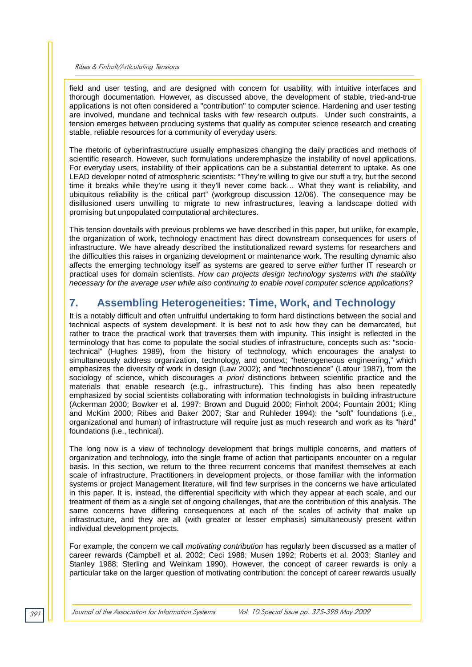field and user testing, and are designed with concern for usability, with intuitive interfaces and thorough documentation. However, as discussed above, the development of stable, tried-and-true applications is not often considered a "contribution" to computer science. Hardening and user testing are involved, mundane and technical tasks with few research outputs. Under such constraints, a tension emerges between producing systems that qualify as computer science research and creating stable, reliable resources for a community of everyday users.

The rhetoric of cyberinfrastructure usually emphasizes changing the daily practices and methods of scientific research. However, such formulations underemphasize the instability of novel applications. For everyday users, instability of their applications can be a substantial deterrent to uptake. As one LEAD developer noted of atmospheric scientists: "They're willing to give our stuff a try, but the second time it breaks while they're using it they'll never come back… What they want is reliability, and ubiquitous reliability is the critical part" (workgroup discussion 12/06). The consequence may be disillusioned users unwilling to migrate to new infrastructures, leaving a landscape dotted with promising but unpopulated computational architectures.

This tension dovetails with previous problems we have described in this paper, but unlike, for example, the organization of work, technology enactment has direct downstream consequences for users of infrastructure. We have already described the institutionalized reward systems for researchers and the difficulties this raises in organizing development or maintenance work. The resulting dynamic also affects the emerging technology itself as systems are geared to serve *either* further IT research *or* practical uses for domain scientists. *How can projects design technology systems with the stability necessary for the average user while also continuing to enable novel computer science applications?*

## **7. Assembling Heterogeneities: Time, Work, and Technology**

It is a notably difficult and often unfruitful undertaking to form hard distinctions between the social and technical aspects of system development. It is best not to ask how they can be demarcated, but rather to trace the practical work that traverses them with impunity. This insight is reflected in the terminology that has come to populate the social studies of infrastructure, concepts such as: "sociotechnical" (Hughes 1989), from the history of technology, which encourages the analyst to simultaneously address organization, technology, and context; "heterogeneous engineering," which emphasizes the diversity of work in design (Law 2002); and "technoscience" (Latour 1987), from the sociology of science, which discourages *a priori* distinctions between scientific practice and the materials that enable research (e.g., infrastructure). This finding has also been repeatedly emphasized by social scientists collaborating with information technologists in building infrastructure (Ackerman 2000; Bowker et al. 1997; Brown and Duguid 2000; Finholt 2004; Fountain 2001; Kling and McKim 2000; Ribes and Baker 2007; Star and Ruhleder 1994): the "soft" foundations (i.e., organizational and human) of infrastructure will require just as much research and work as its "hard" foundations (i.e., technical).

The long now is a view of technology development that brings multiple concerns, and matters of organization and technology, into the single frame of action that participants encounter on a regular basis. In this section, we return to the three recurrent concerns that manifest themselves at each scale of infrastructure. Practitioners in development projects, or those familiar with the information systems or project Management literature, will find few surprises in the concerns we have articulated in this paper. It is, instead, the differential specificity with which they appear at each scale, and our treatment of them as a single set of ongoing challenges, that are the contribution of this analysis. The same concerns have differing consequences at each of the scales of activity that make up infrastructure, and they are all (with greater or lesser emphasis) simultaneously present within individual development projects.

For example, the concern we call *motivating contribution* has regularly been discussed as a matter of career rewards (Campbell et al. 2002; Ceci 1988; Musen 1992; Roberts et al. 2003; Stanley and Stanley 1988; Sterling and Weinkam 1990). However, the concept of career rewards is only a particular take on the larger question of motivating contribution: the concept of career rewards usually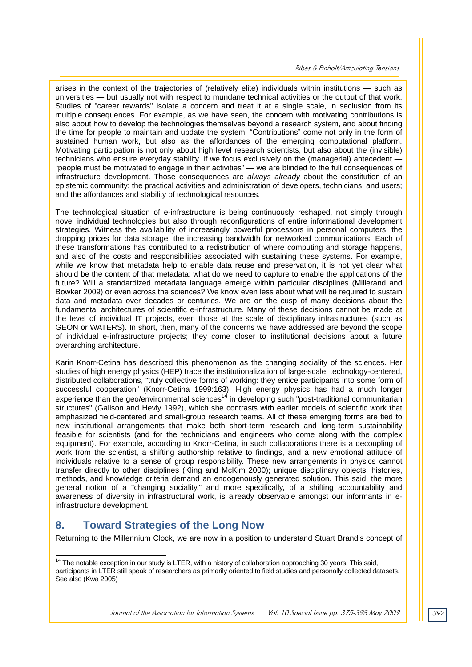arises in the context of the trajectories of (relatively elite) individuals within institutions — such as universities — but usually not with respect to mundane technical activities or the output of that work. Studies of "career rewards" isolate a concern and treat it at a single scale, in seclusion from its multiple consequences. For example, as we have seen, the concern with motivating contributions is also about how to develop the technologies themselves beyond a research system, and about finding the time for people to maintain and update the system. "Contributions" come not only in the form of sustained human work, but also as the affordances of the emerging computational platform. Motivating participation is not only about high level research scientists, but also about the (invisible) technicians who ensure everyday stability. If we focus exclusively on the (managerial) antecedent -"people must be motivated to engage in their activities" — we are blinded to the full consequences of infrastructure development. Those consequences are *always already* about the constitution of an epistemic community; the practical activities and administration of developers, technicians, and users; and the affordances and stability of technological resources.

The technological situation of e-infrastructure is being continuously reshaped, not simply through novel individual technologies but also through reconfigurations of entire informational development strategies. Witness the availability of increasingly powerful processors in personal computers; the dropping prices for data storage; the increasing bandwidth for networked communications. Each of these transformations has contributed to a redistribution of where computing and storage happens, and also of the costs and responsibilities associated with sustaining these systems. For example, while we know that metadata help to enable data reuse and preservation, it is not yet clear what should be the content of that metadata: what do we need to capture to enable the applications of the future? Will a standardized metadata language emerge within particular disciplines (Millerand and Bowker 2009) or even across the sciences? We know even less about what will be required to sustain data and metadata over decades or centuries. We are on the cusp of many decisions about the fundamental architectures of scientific e-infrastructure. Many of these decisions cannot be made at the level of individual IT projects, even those at the scale of disciplinary infrastructures (such as GEON or WATERS). In short, then, many of the concerns we have addressed are beyond the scope of individual e-infrastructure projects; they come closer to institutional decisions about a future overarching architecture.

Karin Knorr-Cetina has described this phenomenon as the changing sociality of the sciences. Her studies of high energy physics (HEP) trace the institutionalization of large-scale, technology-centered, distributed collaborations, "truly collective forms of working: they entice participants into some form of successful cooperation" (Knorr-Cetina 1999:163). High energy physics has had a much longer experience than the geo/environmental sciences<sup>14</sup> in developing such "post-traditional communitarian structures" (Galison and Hevly 1992), which she contrasts with earlier models of scientific work that emphasized field-centered and small-group research teams. All of these emerging forms are tied to new institutional arrangements that make both short-term research and long-term sustainability feasible for scientists (and for the technicians and engineers who come along with the complex equipment). For example, according to Knorr-Cetina, in such collaborations there is a decoupling of work from the scientist, a shifting authorship relative to findings, and a new emotional attitude of individuals relative to a sense of group responsibility. These new arrangements in physics cannot transfer directly to other disciplines (Kling and McKim 2000); unique disciplinary objects, histories, methods, and knowledge criteria demand an endogenously generated solution. This said, the more general notion of a "changing sociality," and more specifically, of a shifting accountability and awareness of diversity in infrastructural work, is already observable amongst our informants in einfrastructure development.

## **8. Toward Strategies of the Long Now**

Returning to the Millennium Clock, we are now in a position to understand Stuart Brand's concept of

<sup>1</sup>  $14$  The notable exception in our study is LTER, with a history of collaboration approaching 30 years. This said, participants in LTER still speak of researchers as primarily oriented to field studies and personally collected datasets. See also (Kwa 2005)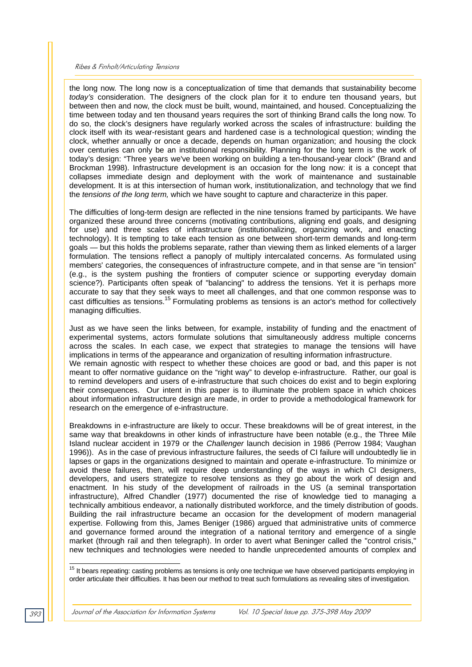the long now. The long now is a conceptualization of time that demands that sustainability become *today's* consideration. The designers of the clock plan for it to endure ten thousand years, but between then and now, the clock must be built, wound, maintained, and housed. Conceptualizing the time between today and ten thousand years requires the sort of thinking Brand calls the long now. To do so, the clock's designers have regularly worked across the scales of infrastructure: building the clock itself with its wear-resistant gears and hardened case is a technological question; winding the clock, whether annually or once a decade, depends on human organization; and housing the clock over centuries can only be an institutional responsibility. Planning for the long term is the work of today's design: "Three years we've been working on building a ten-thousand-year clock" (Brand and Brockman 1998). Infrastructure development is an occasion for the long now: it is a concept that collapses immediate design and deployment with the work of maintenance and sustainable development. It is at this intersection of human work, institutionalization, and technology that we find the *tensions of the long term,* which we have sought to capture and characterize in this paper.

The difficulties of long-term design are reflected in the nine tensions framed by participants. We have organized these around three concerns (motivating contributions, aligning end goals, and designing for use) and three scales of infrastructure (institutionalizing, organizing work, and enacting technology). It is tempting to take each tension as one between short-term demands and long-term goals — but this holds the problems separate, rather than viewing them as linked elements of a larger formulation. The tensions reflect a panoply of multiply intercalated concerns. As formulated using members' categories, the consequences of infrastructure compete, and in that sense are "in tension" (e.g., is the system pushing the frontiers of computer science or supporting everyday domain science?). Participants often speak of "balancing" to address the tensions. Yet it is perhaps more accurate to say that they seek ways to meet all challenges, and that one common response was to cast difficulties as tensions.15 Formulating problems as tensions is an actor's method for collectively managing difficulties.

Just as we have seen the links between, for example, instability of funding and the enactment of experimental systems, actors formulate solutions that simultaneously address multiple concerns across the scales. In each case, we expect that strategies to manage the tensions will have implications in terms of the appearance and organization of resulting information infrastructure. We remain agnostic with respect to whether these choices are good or bad, and this paper is not meant to offer normative guidance on the "right way" to develop e-infrastructure. Rather, our goal is to remind developers and users of e-infrastructure that such choices do exist and to begin exploring their consequences. Our intent in this paper is to illuminate the problem space in which choices about information infrastructure design are made, in order to provide a methodological framework for research on the emergence of e-infrastructure.

Breakdowns in e-infrastructure are likely to occur. These breakdowns will be of great interest, in the same way that breakdowns in other kinds of infrastructure have been notable (e.g., the Three Mile Island nuclear accident in 1979 or the *Challenger* launch decision in 1986 (Perrow 1984; Vaughan 1996)). As in the case of previous infrastructure failures, the seeds of CI failure will undoubtedly lie in lapses or gaps in the organizations designed to maintain and operate e-infrastructure. To minimize or avoid these failures, then, will require deep understanding of the ways in which CI designers, developers, and users strategize to resolve tensions as they go about the work of design and enactment. In his study of the development of railroads in the US (a seminal transportation infrastructure), Alfred Chandler (1977) documented the rise of knowledge tied to managing a technically ambitious endeavor, a nationally distributed workforce, and the timely distribution of goods. Building the rail infrastructure became an occasion for the development of modern managerial expertise. Following from this, James Beniger (1986) argued that administrative units of commerce and governance formed around the integration of a national territory and emergence of a single market (through rail and then telegraph). In order to avert what Beninger called the "control crisis," new techniques and technologies were needed to handle unprecedented amounts of complex and

l

 $15$  It bears repeating: casting problems as tensions is only one technique we have observed participants employing in order articulate their difficulties. It has been our method to treat such formulations as revealing sites of investigation.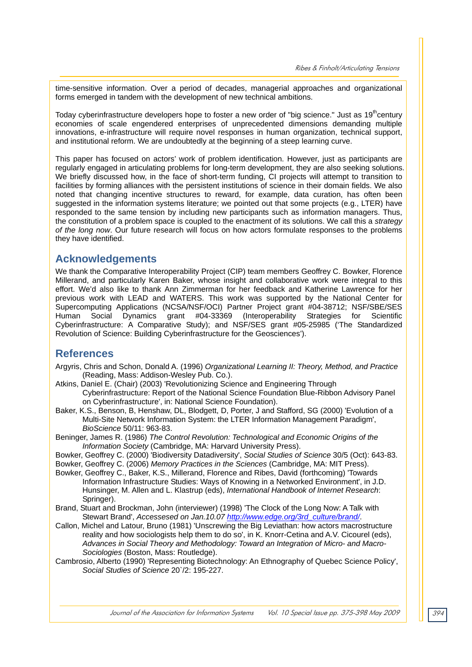time-sensitive information. Over a period of decades, managerial approaches and organizational forms emerged in tandem with the development of new technical ambitions.

Today cyberinfrastructure developers hope to foster a new order of "big science." Just as 19<sup>th</sup>century economies of scale engendered enterprises of unprecedented dimensions demanding multiple innovations, e-infrastructure will require novel responses in human organization, technical support, and institutional reform. We are undoubtedly at the beginning of a steep learning curve.

This paper has focused on actors' work of problem identification. However, just as participants are regularly engaged in articulating problems for long-term development, they are also seeking solutions. We briefly discussed how, in the face of short-term funding, CI projects will attempt to transition to facilities by forming alliances with the persistent institutions of science in their domain fields. We also noted that changing incentive structures to reward, for example, data curation, has often been suggested in the information systems literature; we pointed out that some projects (e.g., LTER) have responded to the same tension by including new participants such as information managers. Thus, the constitution of a problem space is coupled to the enactment of its solutions. We call this a *strategy of the long now*. Our future research will focus on how actors formulate responses to the problems they have identified.

## **Acknowledgements**

We thank the Comparative Interoperability Project (CIP) team members Geoffrey C. Bowker, Florence Millerand, and particularly Karen Baker, whose insight and collaborative work were integral to this effort. We'd also like to thank Ann Zimmerman for her feedback and Katherine Lawrence for her previous work with LEAD and WATERS. This work was supported by the National Center for Supercomputing Applications (NCSA/NSF/OCI) Partner Project grant #04-38712; NSF/SBE/SES Human Social Dynamics grant #04-33369 (Interoperability Strategies for Scientific Cyberinfrastructure: A Comparative Study); and NSF/SES grant #05-25985 ('The Standardized Revolution of Science: Building Cyberinfrastructure for the Geosciences').

## **References**

- Argyris, Chris and Schon, Donald A. (1996) *Organizational Learning II: Theory, Method, and Practice* (Reading, Mass: Addison-Wesley Pub. Co.).
- Atkins, Daniel E. (Chair) (2003) 'Revolutionizing Science and Engineering Through Cyberinfrastructure: Report of the National Science Foundation Blue-Ribbon Advisory Panel on Cyberinfrastructure', in: National Science Foundation).
- Baker, K.S., Benson, B, Henshaw, DL, Blodgett, D, Porter, J and Stafford, SG (2000) 'Evolution of a Multi-Site Network Information System: the LTER Information Management Paradigm', *BioScience* 50/11: 963-83.
- Beninger, James R. (1986) *The Control Revolution: Technological and Economic Origins of the Information Society* (Cambridge, MA: Harvard University Press).
- Bowker, Geoffrey C. (2000) 'Biodiversity Datadiversity', *Social Studies of Science* 30/5 (Oct): 643-83.
- Bowker, Geoffrey C. (2006) *Memory Practices in the Sciences* (Cambridge, MA: MIT Press).
- Bowker, Geoffrey C., Baker, K.S., Millerand, Florence and Ribes, David (forthcoming) 'Towards Information Infrastructure Studies: Ways of Knowing in a Networked Environment', in J.D. Hunsinger, M. Allen and L. Klastrup (eds), *International Handbook of Internet Research*: Springer).
- Brand, Stuart and Brockman, John (interviewer) (1998) 'The Clock of the Long Now: A Talk with Stewart Brand', *Accessesed on Jan.10.07 http://www.edge.org/3rd\_culture/brand/*.
- Callon, Michel and Latour, Bruno (1981) 'Unscrewing the Big Leviathan: how actors macrostructure reality and how sociologists help them to do so', in K. Knorr-Cetina and A.V. Cicourel (eds), *Advances in Social Theory and Methodology: Toward an Integration of Micro- and Macro-Sociologies* (Boston, Mass: Routledge).
- Cambrosio, Alberto (1990) 'Representing Biotechnology: An Ethnography of Quebec Science Policy', *Social Studies of Science* 20`/2: 195-227.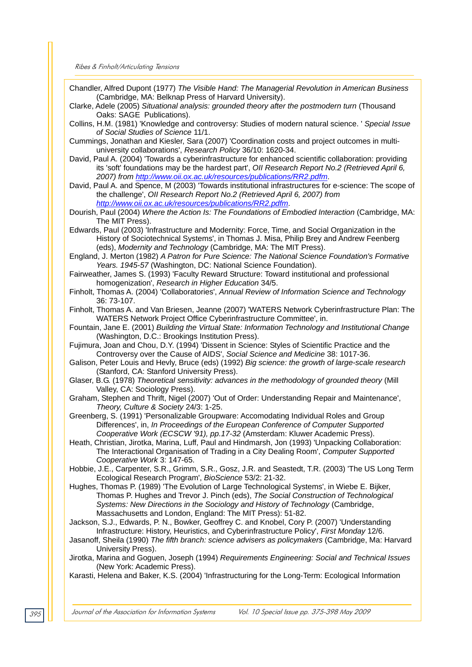Chandler, Alfred Dupont (1977) *The Visible Hand: The Managerial Revolution in American Business* (Cambridge, MA: Belknap Press of Harvard University).

Clarke, Adele (2005) *Situational analysis: grounded theory after the postmodern turn* (Thousand Oaks: SAGE Publications).

- Collins, H.M. (1981) 'Knowledge and controversy: Studies of modern natural science. ' *Special Issue of Social Studies of Science* 11/1.
- Cummings, Jonathan and Kiesler, Sara (2007) 'Coordination costs and project outcomes in multiuniversity collaborations', *Research Policy* 36/10: 1620-34.
- David, Paul A. (2004) 'Towards a cyberinfrastructure for enhanced scientific collaboration: providing its 'soft' foundations may be the hardest part', *OII Research Report No.2 (Retrieved April 6, 2007) from http://www.oii.ox.ac.uk/resources/publications/RR2.pdfm*.

David, Paul A. and Spence, M (2003) 'Towards institutional infrastructures for e-science: The scope of the challenge', *OII Research Report No.2 (Retrieved April 6, 2007) from http://www.oii.ox.ac.uk/resources/publications/RR2.pdfm*.

- Dourish, Paul (2004) *Where the Action Is: The Foundations of Embodied Interaction* (Cambridge, MA: The MIT Press).
- Edwards, Paul (2003) 'Infrastructure and Modernity: Force, Time, and Social Organization in the History of Sociotechnical Systems', in Thomas J. Misa, Philip Brey and Andrew Feenberg (eds), *Modernity and Technology* (Cambridge, MA: The MIT Press).
- England, J. Merton (1982) *A Patron for Pure Science: The National Science Foundation's Formative Years. 1945-57* (Washington, DC: National Science Foundation).
- Fairweather, James S. (1993) 'Faculty Reward Structure: Toward institutional and professional homogenization', *Research in Higher Education* 34/5.
- Finholt, Thomas A. (2004) 'Collaboratories', *Annual Review of Information Science and Technology* 36: 73-107.
- Finholt, Thomas A. and Van Briesen, Jeanne (2007) 'WATERS Network Cyberinfrastructure Plan: The WATERS Network Project Office Cyberinfrastructure Committee', in.
- Fountain, Jane E. (2001) *Building the Virtual State: Information Technology and Institutional Change* (Washington, D.C.: Brookings Institution Press).
- Fujimura, Joan and Chou, D.Y. (1994) 'Dissent in Science: Styles of Scientific Practice and the Controversy over the Cause of AIDS', *Social Science and Medicine* 38: 1017-36.
- Galison, Peter Louis and Hevly, Bruce (eds) (1992) *Big science: the growth of large-scale research* (Stanford, CA: Stanford University Press).
- Glaser, B.G. (1978) *Theoretical sensitivity: advances in the methodology of grounded theory* (Mill Valley, CA: Sociology Press).
- Graham, Stephen and Thrift, Nigel (2007) 'Out of Order: Understanding Repair and Maintenance', *Theory, Culture & Society* 24/3: 1-25.
- Greenberg, S. (1991) 'Personalizable Groupware: Accomodating Individual Roles and Group Differences', in, *In Proceedings of the European Conference of Computer Supported Cooperative Work (ECSCW '91), pp.17-32* (Amsterdam: Kluwer Academic Press).
- Heath, Christian, Jirotka, Marina, Luff, Paul and Hindmarsh, Jon (1993) 'Unpacking Collaboration: The Interactional Organisation of Trading in a City Dealing Room', *Computer Supported Cooperative Work* 3: 147-65.

Hobbie, J.E., Carpenter, S.R., Grimm, S.R., Gosz, J.R. and Seastedt, T.R. (2003) 'The US Long Term Ecological Research Program', *BioScience* 53/2: 21-32.

Hughes, Thomas P. (1989) 'The Evolution of Large Technological Systems', in Wiebe E. Bijker, Thomas P. Hughes and Trevor J. Pinch (eds), *The Social Construction of Technological Systems: New Directions in the Sociology and History of Technology* (Cambridge, Massachusetts and London, England: The MIT Press): 51-82.

Jackson, S.J., Edwards, P. N., Bowker, Geoffrey C. and Knobel, Cory P. (2007) 'Understanding Infrastructure: History, Heuristics, and Cyberinfrastructure Policy', *First Monday* 12/6.

Jasanoff, Sheila (1990) *The fifth branch: science advisers as policymakers* (Cambridge, Ma: Harvard University Press).

Jirotka, Marina and Goguen, Joseph (1994) *Requirements Engineering: Social and Technical Issues* (New York: Academic Press).

Karasti, Helena and Baker, K.S. (2004) 'Infrastructuring for the Long-Term: Ecological Information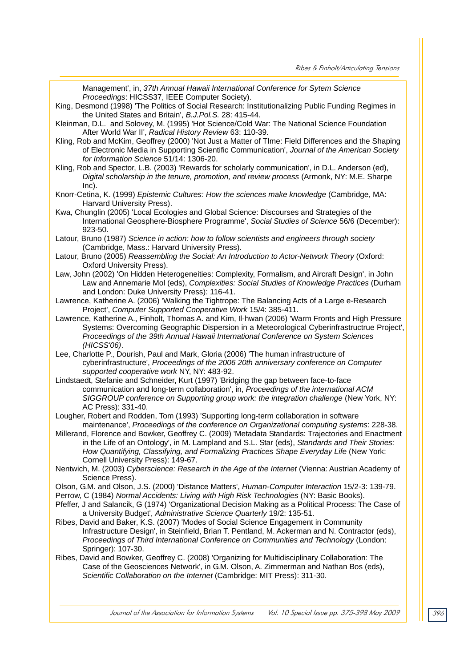Management', in, *37th Annual Hawaii International Conference for Sytem Science Proceedings*: HICSS37, IEEE Computer Society).

King, Desmond (1998) 'The Politics of Social Research: Institutionalizing Public Funding Regimes in the United States and Britain', *B.J.Pol.S.* 28: 415-44.

Kleinman, D.L. and Solovey, M. (1995) 'Hot Science/Cold War: The National Science Foundation After World War II', *Radical History Review* 63: 110-39.

- Kling, Rob and McKim, Geoffrey (2000) 'Not Just a Matter of TIme: Field Differences and the Shaping of Electronic Media in Supporting Scientific Communication', *Journal of the American Society for Information Science* 51/14: 1306-20.
- Kling, Rob and Spector, L.B. (2003) 'Rewards for scholarly communication', in D.L. Anderson (ed), *Digital scholarship in the tenure, promotion, and review process* (Armonk, NY: M.E. Sharpe Inc).
- Knorr-Cetina, K. (1999) *Epistemic Cultures: How the sciences make knowledge* (Cambridge, MA: Harvard University Press).
- Kwa, Chunglin (2005) 'Local Ecologies and Global Science: Discourses and Strategies of the International Geosphere-Biosphere Programme', *Social Studies of Science* 56/6 (December): 923-50.

Latour, Bruno (1987) *Science in action: how to follow scientists and engineers through society* (Cambridge, Mass.: Harvard University Press).

- Latour, Bruno (2005) *Reassembling the Social: An Introduction to Actor-Network Theory* (Oxford: Oxford University Press).
- Law, John (2002) 'On Hidden Heterogeneities: Complexity, Formalism, and Aircraft Design', in John Law and Annemarie Mol (eds), *Complexities: Social Studies of Knowledge Practices* (Durham and London: Duke University Press): 116-41.
- Lawrence, Katherine A. (2006) 'Walking the Tightrope: The Balancing Acts of a Large e-Research Project', *Computer Supported Cooperative Work* 15/4: 385-411.
- Lawrence, Katherine A., Finholt, Thomas A. and Kim, Il-hwan (2006) 'Warm Fronts and High Pressure Systems: Overcoming Geographic Dispersion in a Meteorological Cyberinfrastructrue Project', *Proceedings of the 39th Annual Hawaii International Conference on System Sciences (HICSS'06)*.
- Lee, Charlotte P., Dourish, Paul and Mark, Gloria (2006) 'The human infrastructure of cyberinfrastructure', *Proceedings of the 2006 20th anniversary conference on Computer supported cooperative work* NY, NY: 483-92.
- Lindstaedt, Stefanie and Schneider, Kurt (1997) 'Bridging the gap between face-to-face communication and long-term collaboration', in, *Proceedings of the international ACM SIGGROUP conference on Supporting group work: the integration challenge* (New York, NY: AC Press): 331-40.
- Lougher, Robert and Rodden, Tom (1993) 'Supporting long-term collaboration in software maintenance', *Proceedings of the conference on Organizational computing systems*: 228-38.
- Millerand, Florence and Bowker, Geoffrey C. (2009) 'Metadata Standards: Trajectories and Enactment in the Life of an Ontology', in M. Lampland and S.L. Star (eds), *Standards and Their Stories: How Quantifying, Classifying, and Formalizing Practices Shape Everyday Life* (New York: Cornell University Press): 149-67.
- Nentwich, M. (2003) *Cyberscience: Research in the Age of the Internet* (Vienna: Austrian Academy of Science Press).
- Olson, G.M. and Olson, J.S. (2000) 'Distance Matters', *Human-Computer Interaction* 15/2-3: 139-79.

Perrow, C (1984) *Normal Accidents: Living with High Risk Technologies* (NY: Basic Books).

- Pfeffer, J and Salancik, G (1974) 'Organizational Decision Making as a Political Process: The Case of a University Budget', *Administrative Science Quarterly* 19/2: 135-51.
- Ribes, David and Baker, K.S. (2007) 'Modes of Social Science Engagement in Community Infrastructure Design', in Steinfield, Brian T. Pentland, M. Ackerman and N. Contractor (eds), *Proceedings of Third International Conference on Communities and Technology* (London: Springer): 107-30.
- Ribes, David and Bowker, Geoffrey C. (2008) 'Organizing for Multidisciplinary Collaboration: The Case of the Geosciences Network', in G.M. Olson, A. Zimmerman and Nathan Bos (eds), *Scientific Collaboration on the Internet* (Cambridge: MIT Press): 311-30.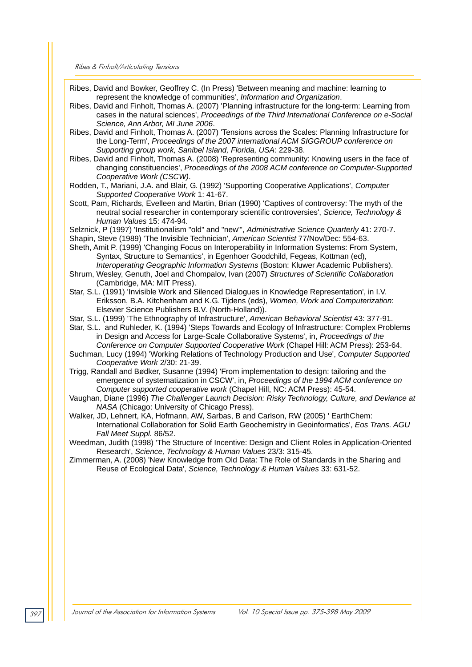Ribes, David and Bowker, Geoffrey C. (In Press) 'Between meaning and machine: learning to represent the knowledge of communities', *Information and Organization*.

- Ribes, David and Finholt, Thomas A. (2007) 'Planning infrastructure for the long-term: Learning from cases in the natural sciences', *Proceedings of the Third International Conference on e-Social Science, Ann Arbor, MI June 2006*.
- Ribes, David and Finholt, Thomas A. (2007) 'Tensions across the Scales: Planning Infrastructure for the Long-Term', *Proceedings of the 2007 international ACM SIGGROUP conference on Supporting group work, Sanibel Island, Florida, USA*: 229-38.
- Ribes, David and Finholt, Thomas A. (2008) 'Representing community: Knowing users in the face of changing constituencies', *Proceedings of the 2008 ACM conference on Computer-Supported Cooperative Work (CSCW)*.
- Rodden, T., Mariani, J.A. and Blair, G. (1992) 'Supporting Cooperative Applications', *Computer Supported Cooperative Work* 1: 41-67.
- Scott, Pam, Richards, Evelleen and Martin, Brian (1990) 'Captives of controversy: The myth of the neutral social researcher in contemporary scientific controversies', *Science, Technology & Human Values* 15: 474-94.
- Selznick, P (1997) 'Institutionalism "old" and "new"', *Administrative Science Quarterly* 41: 270-7.
- Shapin, Steve (1989) 'The Invisible Technician', *American Scientist* 77/Nov/Dec: 554-63.
- Sheth, Amit P. (1999) 'Changing Focus on Interoperability in Information Systems: From System, Syntax, Structure to Semantics', in Egenhoer Goodchild, Fegeas, Kottman (ed), *Interoperating Geographic Information Systems* (Boston: Kluwer Academic Publishers).
- Shrum, Wesley, Genuth, Joel and Chompalov, Ivan (2007) *Structures of Scientific Collaboration* (Cambridge, MA: MIT Press).
- Star, S.L. (1991) 'Invisible Work and Silenced Dialogues in Knowledge Representation', in I.V. Eriksson, B.A. Kitchenham and K.G. Tijdens (eds), *Women, Work and Computerization*: Elsevier Science Publishers B.V. (North-Holland)).
- Star, S.L. (1999) 'The Ethnography of Infrastructure', *American Behavioral Scientist* 43: 377-91.
- Star, S.L. and Ruhleder, K. (1994) 'Steps Towards and Ecology of Infrastructure: Complex Problems in Design and Access for Large-Scale Collaborative Systems', in, *Proceedings of the Conference on Computer Supported Cooperative Work* (Chapel Hill: ACM Press): 253-64.
- Suchman, Lucy (1994) 'Working Relations of Technology Production and Use', *Computer Supported Cooperative Work* 2/30: 21-39.
- Trigg, Randall and Bødker, Susanne (1994) 'From implementation to design: tailoring and the emergence of systematization in CSCW', in, *Proceedings of the 1994 ACM conference on Computer supported cooperative work* (Chapel Hill, NC: ACM Press): 45-54.
- Vaughan, Diane (1996) *The Challenger Launch Decision: Risky Technology, Culture, and Deviance at NASA* (Chicago: University of Chicago Press).
- Walker, JD, Lehnert, KA, Hofmann, AW, Sarbas, B and Carlson, RW (2005) ' EarthChem: International Collaboration for Solid Earth Geochemistry in Geoinformatics', *Eos Trans. AGU Fall Meet Suppl.* 86/52.

Weedman, Judith (1998) 'The Structure of Incentive: Design and Client Roles in Application-Oriented Research', *Science, Technology & Human Values* 23/3: 315-45.

Zimmerman, A. (2008) 'New Knowledge from Old Data: The Role of Standards in the Sharing and Reuse of Ecological Data', *Science, Technology & Human Values* 33: 631-52.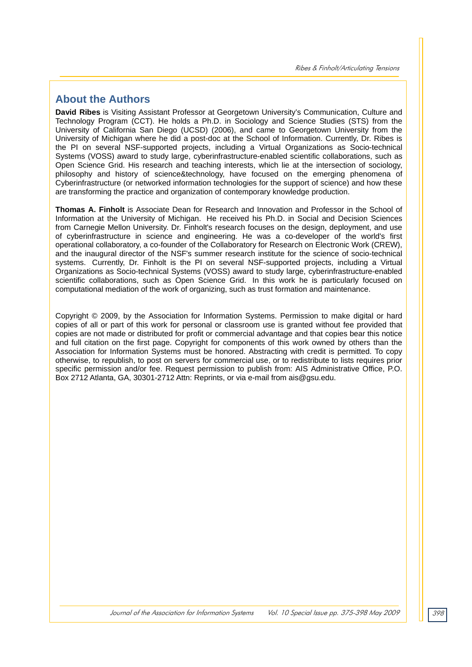## **About the Authors**

**David Ribes** is Visiting Assistant Professor at Georgetown University's Communication, Culture and Technology Program (CCT). He holds a Ph.D. in Sociology and Science Studies (STS) from the University of California San Diego (UCSD) (2006), and came to Georgetown University from the University of Michigan where he did a post-doc at the School of Information. Currently, Dr. Ribes is the PI on several NSF-supported projects, including a Virtual Organizations as Socio-technical Systems (VOSS) award to study large, cyberinfrastructure-enabled scientific collaborations, such as Open Science Grid. His research and teaching interests, which lie at the intersection of sociology, philosophy and history of science&technology, have focused on the emerging phenomena of Cyberinfrastructure (or networked information technologies for the support of science) and how these are transforming the practice and organization of contemporary knowledge production.

**Thomas A. Finholt** is Associate Dean for Research and Innovation and Professor in the School of Information at the University of Michigan. He received his Ph.D. in Social and Decision Sciences from Carnegie Mellon University. Dr. Finholt's research focuses on the design, deployment, and use of cyberinfrastructure in science and engineering. He was a co-developer of the world's first operational collaboratory, a co-founder of the Collaboratory for Research on Electronic Work (CREW), and the inaugural director of the NSF's summer research institute for the science of socio-technical systems. Currently, Dr. Finholt is the PI on several NSF-supported projects, including a Virtual Organizations as Socio-technical Systems (VOSS) award to study large, cyberinfrastructure-enabled scientific collaborations, such as Open Science Grid. In this work he is particularly focused on computational mediation of the work of organizing, such as trust formation and maintenance.

Copyright © 2009, by the Association for Information Systems. Permission to make digital or hard copies of all or part of this work for personal or classroom use is granted without fee provided that copies are not made or distributed for profit or commercial advantage and that copies bear this notice and full citation on the first page. Copyright for components of this work owned by others than the Association for Information Systems must be honored. Abstracting with credit is permitted. To copy otherwise, to republish, to post on servers for commercial use, or to redistribute to lists requires prior specific permission and/or fee. Request permission to publish from: AIS Administrative Office, P.O. Box 2712 Atlanta, GA, 30301-2712 Attn: Reprints, or via e-mail from ais@gsu.edu.